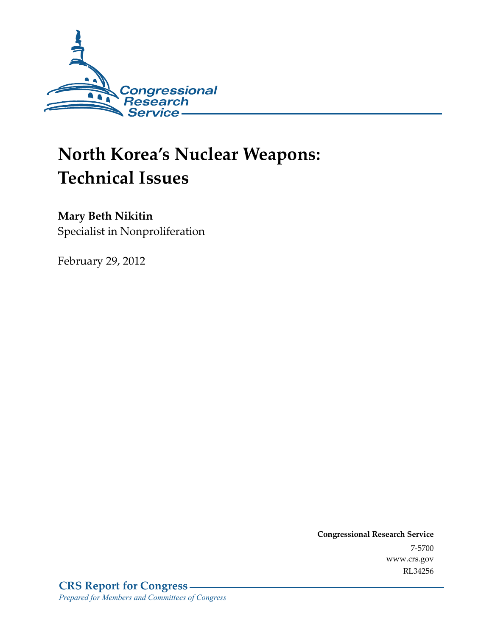

# **North Korea's Nuclear Weapons: Technical Issues**

### **Mary Beth Nikitin**

Specialist in Nonproliferation

February 29, 2012

**Congressional Research Service**  7-5700 www.crs.gov RL34256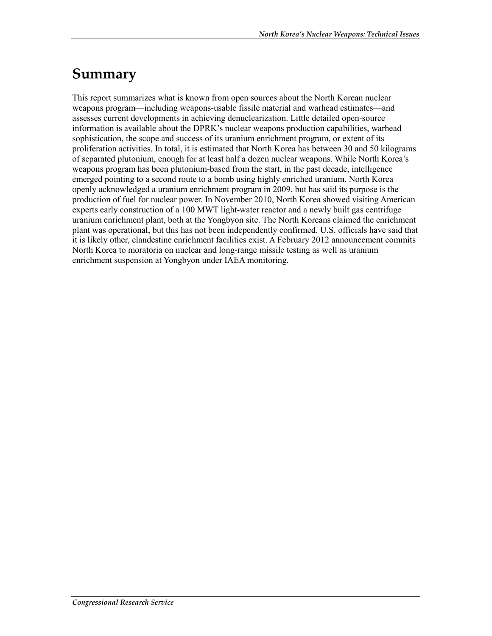## **Summary**

This report summarizes what is known from open sources about the North Korean nuclear weapons program—including weapons-usable fissile material and warhead estimates—and assesses current developments in achieving denuclearization. Little detailed open-source information is available about the DPRK's nuclear weapons production capabilities, warhead sophistication, the scope and success of its uranium enrichment program, or extent of its proliferation activities. In total, it is estimated that North Korea has between 30 and 50 kilograms of separated plutonium, enough for at least half a dozen nuclear weapons. While North Korea's weapons program has been plutonium-based from the start, in the past decade, intelligence emerged pointing to a second route to a bomb using highly enriched uranium. North Korea openly acknowledged a uranium enrichment program in 2009, but has said its purpose is the production of fuel for nuclear power. In November 2010, North Korea showed visiting American experts early construction of a 100 MWT light-water reactor and a newly built gas centrifuge uranium enrichment plant, both at the Yongbyon site. The North Koreans claimed the enrichment plant was operational, but this has not been independently confirmed. U.S. officials have said that it is likely other, clandestine enrichment facilities exist. A February 2012 announcement commits North Korea to moratoria on nuclear and long-range missile testing as well as uranium enrichment suspension at Yongbyon under IAEA monitoring.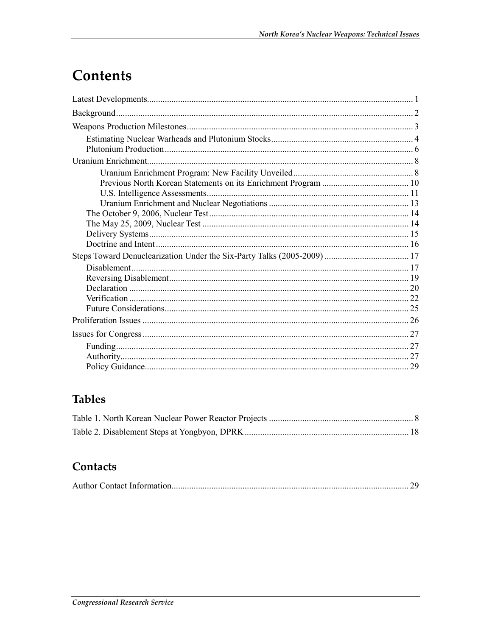## **Contents**

### **Tables**

#### Contacts

|--|--|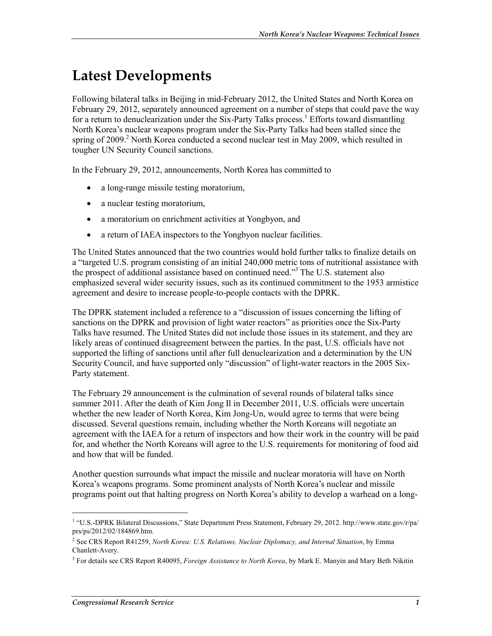## **Latest Developments**

Following bilateral talks in Beijing in mid-February 2012, the United States and North Korea on February 29, 2012, separately announced agreement on a number of steps that could pave the way for a return to denuclearization under the Six-Party Talks process.<sup>1</sup> Efforts toward dismantling North Korea's nuclear weapons program under the Six-Party Talks had been stalled since the spring of 2009.<sup>2</sup> North Korea conducted a second nuclear test in May 2009, which resulted in tougher UN Security Council sanctions.

In the February 29, 2012, announcements, North Korea has committed to

- a long-range missile testing moratorium,
- a nuclear testing moratorium,
- a moratorium on enrichment activities at Yongbyon, and
- a return of IAEA inspectors to the Yongbyon nuclear facilities.

The United States announced that the two countries would hold further talks to finalize details on a "targeted U.S. program consisting of an initial 240,000 metric tons of nutritional assistance with the prospect of additional assistance based on continued need."3 The U.S. statement also emphasized several wider security issues, such as its continued commitment to the 1953 armistice agreement and desire to increase people-to-people contacts with the DPRK.

The DPRK statement included a reference to a "discussion of issues concerning the lifting of sanctions on the DPRK and provision of light water reactors" as priorities once the Six-Party Talks have resumed. The United States did not include those issues in its statement, and they are likely areas of continued disagreement between the parties. In the past, U.S. officials have not supported the lifting of sanctions until after full denuclearization and a determination by the UN Security Council, and have supported only "discussion" of light-water reactors in the 2005 Six-Party statement.

The February 29 announcement is the culmination of several rounds of bilateral talks since summer 2011. After the death of Kim Jong Il in December 2011, U.S. officials were uncertain whether the new leader of North Korea, Kim Jong-Un, would agree to terms that were being discussed. Several questions remain, including whether the North Koreans will negotiate an agreement with the IAEA for a return of inspectors and how their work in the country will be paid for, and whether the North Koreans will agree to the U.S. requirements for monitoring of food aid and how that will be funded.

Another question surrounds what impact the missile and nuclear moratoria will have on North Korea's weapons programs. Some prominent analysts of North Korea's nuclear and missile programs point out that halting progress on North Korea's ability to develop a warhead on a long-

<sup>&</sup>lt;sup>1</sup> "U.S.-DPRK Bilateral Discussions," State Department Press Statement, February 29, 2012. http://www.state.gov/r/pa/ prs/ps/2012/02/184869.htm.

<sup>2</sup> See CRS Report R41259, *North Korea: U.S. Relations, Nuclear Diplomacy, and Internal Situation*, by Emma Chanlett-Avery.

<sup>3</sup> For details see CRS Report R40095, *Foreign Assistance to North Korea*, by Mark E. Manyin and Mary Beth Nikitin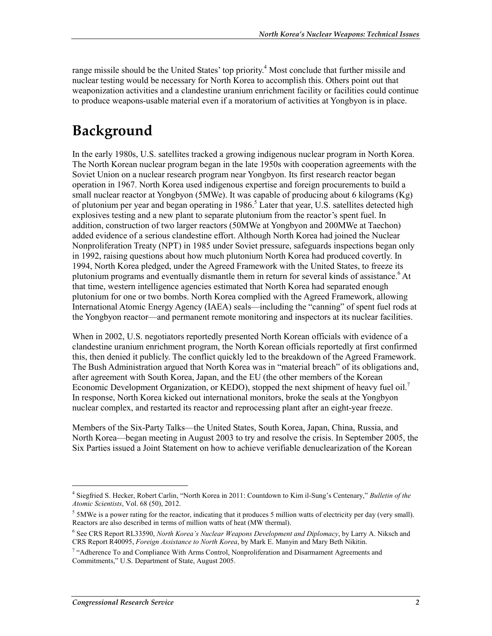range missile should be the United States' top priority.<sup>4</sup> Most conclude that further missile and nuclear testing would be necessary for North Korea to accomplish this. Others point out that weaponization activities and a clandestine uranium enrichment facility or facilities could continue to produce weapons-usable material even if a moratorium of activities at Yongbyon is in place.

## **Background**

In the early 1980s, U.S. satellites tracked a growing indigenous nuclear program in North Korea. The North Korean nuclear program began in the late 1950s with cooperation agreements with the Soviet Union on a nuclear research program near Yongbyon. Its first research reactor began operation in 1967. North Korea used indigenous expertise and foreign procurements to build a small nuclear reactor at Yongbyon (5MWe). It was capable of producing about 6 kilograms (Kg) of plutonium per year and began operating in 1986.<sup>5</sup> Later that year, U.S. satellites detected high explosives testing and a new plant to separate plutonium from the reactor's spent fuel. In addition, construction of two larger reactors (50MWe at Yongbyon and 200MWe at Taechon) added evidence of a serious clandestine effort. Although North Korea had joined the Nuclear Nonproliferation Treaty (NPT) in 1985 under Soviet pressure, safeguards inspections began only in 1992, raising questions about how much plutonium North Korea had produced covertly. In 1994, North Korea pledged, under the Agreed Framework with the United States, to freeze its plutonium programs and eventually dismantle them in return for several kinds of assistance.<sup>6</sup> At that time, western intelligence agencies estimated that North Korea had separated enough plutonium for one or two bombs. North Korea complied with the Agreed Framework, allowing International Atomic Energy Agency (IAEA) seals—including the "canning" of spent fuel rods at the Yongbyon reactor—and permanent remote monitoring and inspectors at its nuclear facilities.

When in 2002, U.S. negotiators reportedly presented North Korean officials with evidence of a clandestine uranium enrichment program, the North Korean officials reportedly at first confirmed this, then denied it publicly. The conflict quickly led to the breakdown of the Agreed Framework. The Bush Administration argued that North Korea was in "material breach" of its obligations and, after agreement with South Korea, Japan, and the EU (the other members of the Korean Economic Development Organization, or KEDO), stopped the next shipment of heavy fuel oil.<sup>7</sup> In response, North Korea kicked out international monitors, broke the seals at the Yongbyon nuclear complex, and restarted its reactor and reprocessing plant after an eight-year freeze.

Members of the Six-Party Talks—the United States, South Korea, Japan, China, Russia, and North Korea—began meeting in August 2003 to try and resolve the crisis. In September 2005, the Six Parties issued a Joint Statement on how to achieve verifiable denuclearization of the Korean

<sup>4</sup> Siegfried S. Hecker, Robert Carlin, "North Korea in 2011: Countdown to Kim il-Sung's Centenary," *Bulletin of the Atomic Scientists*, Vol. 68 (50), 2012.

 $<sup>5</sup>$  SMWe is a power rating for the reactor, indicating that it produces 5 million watts of electricity per day (very small).</sup> Reactors are also described in terms of million watts of heat (MW thermal).

<sup>6</sup> See CRS Report RL33590, *North Korea's Nuclear Weapons Development and Diplomacy*, by Larry A. Niksch and CRS Report R40095, *Foreign Assistance to North Korea*, by Mark E. Manyin and Mary Beth Nikitin.

<sup>&</sup>lt;sup>7</sup> "Adherence To and Compliance With Arms Control, Nonproliferation and Disarmament Agreements and Commitments," U.S. Department of State, August 2005.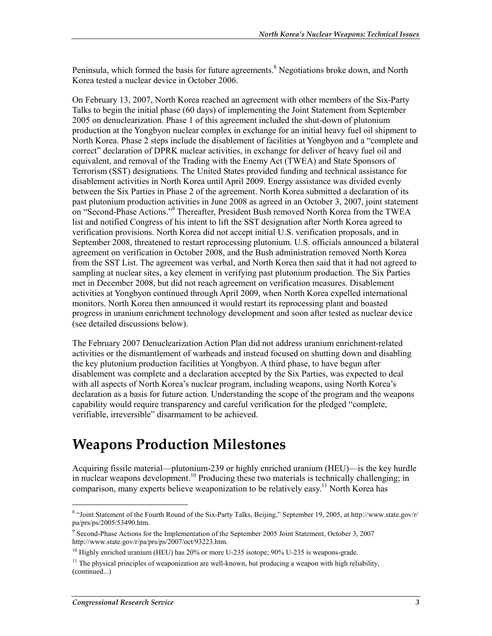Peninsula, which formed the basis for future agreements.<sup>8</sup> Negotiations broke down, and North Korea tested a nuclear device in October 2006.

On February 13, 2007, North Korea reached an agreement with other members of the Six-Party Talks to begin the initial phase (60 days) of implementing the Joint Statement from September 2005 on denuclearization. Phase 1 of this agreement included the shut-down of plutonium production at the Yongbyon nuclear complex in exchange for an initial heavy fuel oil shipment to North Korea. Phase 2 steps include the disablement of facilities at Yongbyon and a "complete and correct" declaration of DPRK nuclear activities, in exchange for deliver of heavy fuel oil and equivalent, and removal of the Trading with the Enemy Act (TWEA) and State Sponsors of Terrorism (SST) designations. The United States provided funding and technical assistance for disablement activities in North Korea until April 2009. Energy assistance was divided evenly between the Six Parties in Phase 2 of the agreement. North Korea submitted a declaration of its past plutonium production activities in June 2008 as agreed in an October 3, 2007, joint statement on "Second-Phase Actions."9 Thereafter, President Bush removed North Korea from the TWEA list and notified Congress of his intent to lift the SST designation after North Korea agreed to verification provisions. North Korea did not accept initial U.S. verification proposals, and in September 2008, threatened to restart reprocessing plutonium. U.S. officials announced a bilateral agreement on verification in October 2008, and the Bush administration removed North Korea from the SST List. The agreement was verbal, and North Korea then said that it had not agreed to sampling at nuclear sites, a key element in verifying past plutonium production. The Six Parties met in December 2008, but did not reach agreement on verification measures. Disablement activities at Yongbyon continued through April 2009, when North Korea expelled international monitors. North Korea then announced it would restart its reprocessing plant and boasted progress in uranium enrichment technology development and soon after tested as nuclear device (see detailed discussions below).

The February 2007 Denuclearization Action Plan did not address uranium enrichment-related activities or the dismantlement of warheads and instead focused on shutting down and disabling the key plutonium production facilities at Yongbyon. A third phase, to have begun after disablement was complete and a declaration accepted by the Six Parties, was expected to deal with all aspects of North Korea's nuclear program, including weapons, using North Korea's declaration as a basis for future action. Understanding the scope of the program and the weapons capability would require transparency and careful verification for the pledged "complete, verifiable, irreversible" disarmament to be achieved.

### **Weapons Production Milestones**

Acquiring fissile material—plutonium-239 or highly enriched uranium (HEU)—is the key hurdle in nuclear weapons development.<sup>10</sup> Producing these two materials is technically challenging; in comparison, many experts believe weaponization to be relatively easy.<sup>11</sup> North Korea has

 $\overline{a}$ 

<sup>&</sup>lt;sup>8</sup> "Joint Statement of the Fourth Round of the Six-Party Talks, Beijing," September 19, 2005, at http://www.state.gov/r/ pa/prs/ps/2005/53490.htm.

<sup>&</sup>lt;sup>9</sup> Second-Phase Actions for the Implementation of the September 2005 Joint Statement, October 3, 2007 http://www.state.gov/r/pa/prs/ps/2007/oct/93223.htm.

<sup>&</sup>lt;sup>10</sup> Highly enriched uranium (HEU) has 20% or more U-235 isotope; 90% U-235 is weapons-grade.

 $11$  The physical principles of weaponization are well-known, but producing a weapon with high reliability, (continued...)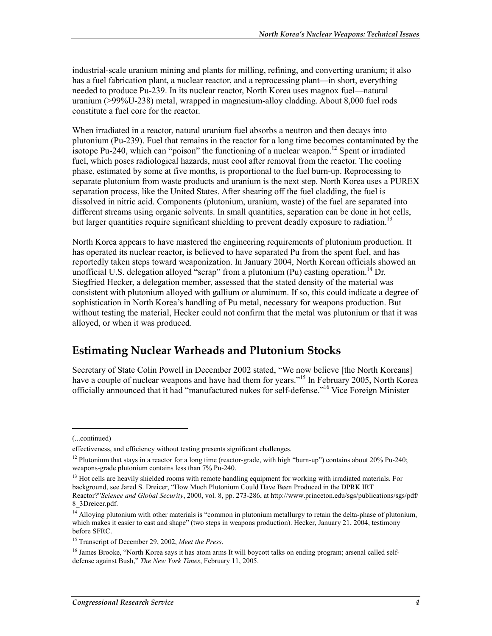industrial-scale uranium mining and plants for milling, refining, and converting uranium; it also has a fuel fabrication plant, a nuclear reactor, and a reprocessing plant—in short, everything needed to produce Pu-239. In its nuclear reactor, North Korea uses magnox fuel—natural uranium (>99%U-238) metal, wrapped in magnesium-alloy cladding. About 8,000 fuel rods constitute a fuel core for the reactor.

When irradiated in a reactor, natural uranium fuel absorbs a neutron and then decays into plutonium (Pu-239). Fuel that remains in the reactor for a long time becomes contaminated by the isotope Pu-240, which can "poison" the functioning of a nuclear weapon.<sup>12</sup> Spent or irradiated fuel, which poses radiological hazards, must cool after removal from the reactor. The cooling phase, estimated by some at five months, is proportional to the fuel burn-up. Reprocessing to separate plutonium from waste products and uranium is the next step. North Korea uses a PUREX separation process, like the United States. After shearing off the fuel cladding, the fuel is dissolved in nitric acid. Components (plutonium, uranium, waste) of the fuel are separated into different streams using organic solvents. In small quantities, separation can be done in hot cells, but larger quantities require significant shielding to prevent deadly exposure to radiation.<sup>13</sup>

North Korea appears to have mastered the engineering requirements of plutonium production. It has operated its nuclear reactor, is believed to have separated Pu from the spent fuel, and has reportedly taken steps toward weaponization. In January 2004, North Korean officials showed an unofficial U.S. delegation alloyed "scrap" from a plutonium (Pu) casting operation.<sup>14</sup> Dr. Siegfried Hecker, a delegation member, assessed that the stated density of the material was consistent with plutonium alloyed with gallium or aluminum. If so, this could indicate a degree of sophistication in North Korea's handling of Pu metal, necessary for weapons production. But without testing the material, Hecker could not confirm that the metal was plutonium or that it was alloyed, or when it was produced.

#### **Estimating Nuclear Warheads and Plutonium Stocks**

Secretary of State Colin Powell in December 2002 stated, "We now believe [the North Koreans] have a couple of nuclear weapons and have had them for years."<sup>15</sup> In February 2005, North Korea officially announced that it had "manufactured nukes for self-defense."16 Vice Foreign Minister

 $\overline{a}$ 

<sup>(...</sup>continued)

effectiveness, and efficiency without testing presents significant challenges.

<sup>&</sup>lt;sup>12</sup> Plutonium that stays in a reactor for a long time (reactor-grade, with high "burn-up") contains about 20% Pu-240; weapons-grade plutonium contains less than 7% Pu-240.

 $<sup>13</sup>$  Hot cells are heavily shielded rooms with remote handling equipment for working with irradiated materials. For</sup> background, see Jared S. Dreicer, "How Much Plutonium Could Have Been Produced in the DPRK IRT Reactor?"*Science and Global Security*, 2000, vol. 8, pp. 273-286, at http://www.princeton.edu/sgs/publications/sgs/pdf/ 8\_3Dreicer.pdf.

 $<sup>14</sup>$  Alloying plutonium with other materials is "common in plutonium metallurgy to retain the delta-phase of plutonium,</sup> which makes it easier to cast and shape" (two steps in weapons production). Hecker, January 21, 2004, testimony before SFRC.

<sup>15</sup> Transcript of December 29, 2002, *Meet the Press*.

<sup>&</sup>lt;sup>16</sup> James Brooke, "North Korea says it has atom arms It will boycott talks on ending program; arsenal called selfdefense against Bush," *The New York Times*, February 11, 2005.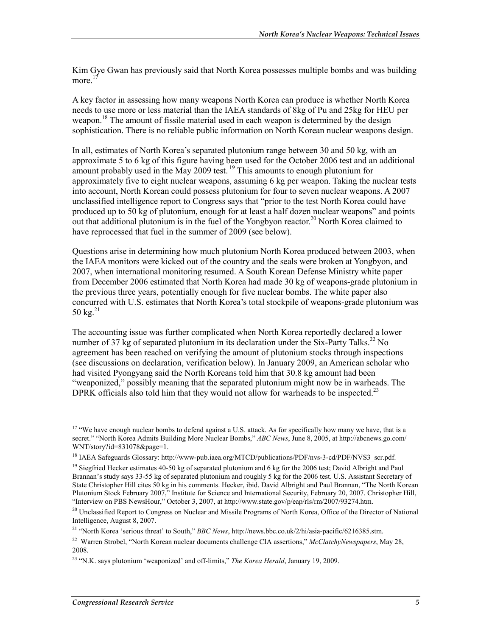Kim Gye Gwan has previously said that North Korea possesses multiple bombs and was building more. $17$ 

A key factor in assessing how many weapons North Korea can produce is whether North Korea needs to use more or less material than the IAEA standards of 8kg of Pu and 25kg for HEU per weapon.<sup>18</sup> The amount of fissile material used in each weapon is determined by the design sophistication. There is no reliable public information on North Korean nuclear weapons design.

In all, estimates of North Korea's separated plutonium range between 30 and 50 kg, with an approximate 5 to 6 kg of this figure having been used for the October 2006 test and an additional amount probably used in the May 2009 test.  $^{19}$  This amounts to enough plutonium for approximately five to eight nuclear weapons, assuming 6 kg per weapon. Taking the nuclear tests into account, North Korean could possess plutonium for four to seven nuclear weapons. A 2007 unclassified intelligence report to Congress says that "prior to the test North Korea could have produced up to 50 kg of plutonium, enough for at least a half dozen nuclear weapons" and points out that additional plutonium is in the fuel of the Yongbyon reactor.<sup>20</sup> North Korea claimed to have reprocessed that fuel in the summer of 2009 (see below).

Questions arise in determining how much plutonium North Korea produced between 2003, when the IAEA monitors were kicked out of the country and the seals were broken at Yongbyon, and 2007, when international monitoring resumed. A South Korean Defense Ministry white paper from December 2006 estimated that North Korea had made 30 kg of weapons-grade plutonium in the previous three years, potentially enough for five nuclear bombs. The white paper also concurred with U.S. estimates that North Korea's total stockpile of weapons-grade plutonium was 50 kg. $^{21}$ 

The accounting issue was further complicated when North Korea reportedly declared a lower number of 37 kg of separated plutonium in its declaration under the Six-Party Talks.<sup>22</sup> No agreement has been reached on verifying the amount of plutonium stocks through inspections (see discussions on declaration, verification below). In January 2009, an American scholar who had visited Pyongyang said the North Koreans told him that 30.8 kg amount had been "weaponized," possibly meaning that the separated plutonium might now be in warheads. The DPRK officials also told him that they would not allow for warheads to be inspected.<sup>23</sup>

<sup>&</sup>lt;sup>17</sup> "We have enough nuclear bombs to defend against a U.S. attack. As for specifically how many we have, that is a secret." "North Korea Admits Building More Nuclear Bombs," *ABC News*, June 8, 2005, at http://abcnews.go.com/ WNT/story?id=831078&page=1.

<sup>&</sup>lt;sup>18</sup> IAEA Safeguards Glossary: http://www-pub.iaea.org/MTCD/publications/PDF/nvs-3-cd/PDF/NVS3\_scr.pdf.

<sup>&</sup>lt;sup>19</sup> Siegfried Hecker estimates 40-50 kg of separated plutonium and 6 kg for the 2006 test; David Albright and Paul Brannan's study says 33-55 kg of separated plutonium and roughly 5 kg for the 2006 test. U.S. Assistant Secretary of State Christopher Hill cites 50 kg in his comments. Hecker, ibid. David Albright and Paul Brannan, "The North Korean Plutonium Stock February 2007," Institute for Science and International Security, February 20, 2007. Christopher Hill, "Interview on PBS NewsHour," October 3, 2007, at http://www.state.gov/p/eap/rls/rm/2007/93274.htm.

 $^{20}$  Unclassified Report to Congress on Nuclear and Missile Programs of North Korea, Office of the Director of National Intelligence, August 8, 2007.

<sup>21 &</sup>quot;North Korea 'serious threat' to South," *BBC News*, http://news.bbc.co.uk/2/hi/asia-pacific/6216385.stm.

<sup>22</sup> Warren Strobel, "North Korean nuclear documents challenge CIA assertions," *McClatchyNewspapers*, May 28, 2008.

<sup>&</sup>lt;sup>23</sup> "N.K. says plutonium 'weaponized' and off-limits," *The Korea Herald*, January 19, 2009.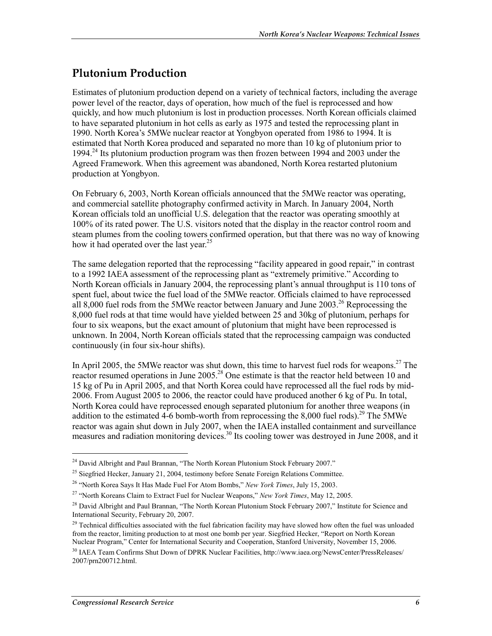### **Plutonium Production**

Estimates of plutonium production depend on a variety of technical factors, including the average power level of the reactor, days of operation, how much of the fuel is reprocessed and how quickly, and how much plutonium is lost in production processes. North Korean officials claimed to have separated plutonium in hot cells as early as 1975 and tested the reprocessing plant in 1990. North Korea's 5MWe nuclear reactor at Yongbyon operated from 1986 to 1994. It is estimated that North Korea produced and separated no more than 10 kg of plutonium prior to 1994<sup>24</sup> Its plutonium production program was then frozen between 1994 and 2003 under the Agreed Framework. When this agreement was abandoned, North Korea restarted plutonium production at Yongbyon.

On February 6, 2003, North Korean officials announced that the 5MWe reactor was operating, and commercial satellite photography confirmed activity in March. In January 2004, North Korean officials told an unofficial U.S. delegation that the reactor was operating smoothly at 100% of its rated power. The U.S. visitors noted that the display in the reactor control room and steam plumes from the cooling towers confirmed operation, but that there was no way of knowing how it had operated over the last year.<sup>25</sup>

The same delegation reported that the reprocessing "facility appeared in good repair," in contrast to a 1992 IAEA assessment of the reprocessing plant as "extremely primitive." According to North Korean officials in January 2004, the reprocessing plant's annual throughput is 110 tons of spent fuel, about twice the fuel load of the 5MWe reactor. Officials claimed to have reprocessed all 8,000 fuel rods from the 5MWe reactor between January and June 2003.<sup>26</sup> Reprocessing the 8,000 fuel rods at that time would have yielded between 25 and 30kg of plutonium, perhaps for four to six weapons, but the exact amount of plutonium that might have been reprocessed is unknown. In 2004, North Korean officials stated that the reprocessing campaign was conducted continuously (in four six-hour shifts).

In April 2005, the 5MWe reactor was shut down, this time to harvest fuel rods for weapons.<sup>27</sup> The reactor resumed operations in June 2005.<sup>28</sup> One estimate is that the reactor held between 10 and 15 kg of Pu in April 2005, and that North Korea could have reprocessed all the fuel rods by mid-2006. From August 2005 to 2006, the reactor could have produced another 6 kg of Pu. In total, North Korea could have reprocessed enough separated plutonium for another three weapons (in addition to the estimated 4-6 bomb-worth from reprocessing the 8,000 fuel rods).<sup>29</sup> The 5MWe reactor was again shut down in July 2007, when the IAEA installed containment and surveillance measures and radiation monitoring devices.<sup>30</sup> Its cooling tower was destroyed in June 2008, and it

 $\overline{a}$ 

 $24$  David Albright and Paul Brannan, "The North Korean Plutonium Stock February 2007."

<sup>&</sup>lt;sup>25</sup> Siegfried Hecker, January 21, 2004, testimony before Senate Foreign Relations Committee.

<sup>26 &</sup>quot;North Korea Says It Has Made Fuel For Atom Bombs," *New York Times*, July 15, 2003.

<sup>27 &</sup>quot;North Koreans Claim to Extract Fuel for Nuclear Weapons," *New York Times*, May 12, 2005.

<sup>&</sup>lt;sup>28</sup> David Albright and Paul Brannan, "The North Korean Plutonium Stock February 2007," Institute for Science and International Security, February 20, 2007.

<sup>&</sup>lt;sup>29</sup> Technical difficulties associated with the fuel fabrication facility may have slowed how often the fuel was unloaded from the reactor, limiting production to at most one bomb per year. Siegfried Hecker, "Report on North Korean Nuclear Program," Center for International Security and Cooperation, Stanford University, November 15, 2006.

<sup>&</sup>lt;sup>30</sup> IAEA Team Confirms Shut Down of DPRK Nuclear Facilities, http://www.iaea.org/NewsCenter/PressReleases/ 2007/prn200712.html.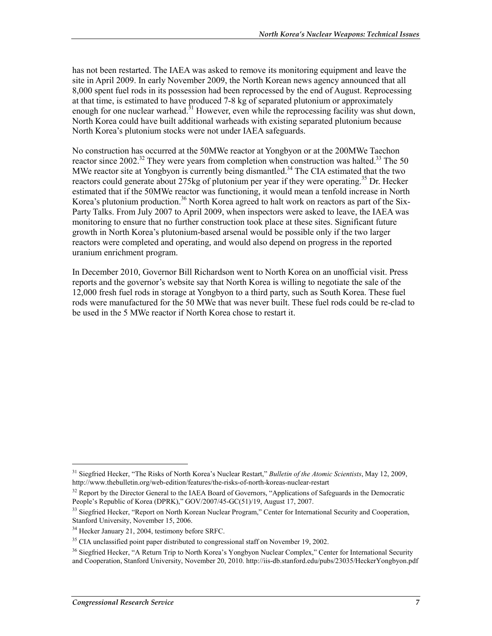has not been restarted. The IAEA was asked to remove its monitoring equipment and leave the site in April 2009. In early November 2009, the North Korean news agency announced that all 8,000 spent fuel rods in its possession had been reprocessed by the end of August. Reprocessing at that time, is estimated to have produced 7-8 kg of separated plutonium or approximately enough for one nuclear warhead.<sup>31</sup> However, even while the reprocessing facility was shut down, North Korea could have built additional warheads with existing separated plutonium because North Korea's plutonium stocks were not under IAEA safeguards.

No construction has occurred at the 50MWe reactor at Yongbyon or at the 200MWe Taechon reactor since 2002.<sup>32</sup> They were years from completion when construction was halted.<sup>33</sup> The 50 MWe reactor site at Yongbyon is currently being dismantled.<sup>34</sup> The CIA estimated that the two reactors could generate about 275kg of plutonium per year if they were operating.<sup>35</sup> Dr. Hecker estimated that if the 50MWe reactor was functioning, it would mean a tenfold increase in North Korea's plutonium production.<sup>36</sup> North Korea agreed to halt work on reactors as part of the Six-Party Talks. From July 2007 to April 2009, when inspectors were asked to leave, the IAEA was monitoring to ensure that no further construction took place at these sites. Significant future growth in North Korea's plutonium-based arsenal would be possible only if the two larger reactors were completed and operating, and would also depend on progress in the reported uranium enrichment program.

In December 2010, Governor Bill Richardson went to North Korea on an unofficial visit. Press reports and the governor's website say that North Korea is willing to negotiate the sale of the 12,000 fresh fuel rods in storage at Yongbyon to a third party, such as South Korea. These fuel rods were manufactured for the 50 MWe that was never built. These fuel rods could be re-clad to be used in the 5 MWe reactor if North Korea chose to restart it.

<sup>31</sup> Siegfried Hecker, "The Risks of North Korea's Nuclear Restart," *Bulletin of the Atomic Scientists*, May 12, 2009, http://www.thebulletin.org/web-edition/features/the-risks-of-north-koreas-nuclear-restart

<sup>&</sup>lt;sup>32</sup> Report by the Director General to the IAEA Board of Governors, "Applications of Safeguards in the Democratic People's Republic of Korea (DPRK)," GOV/2007/45-GC(51)/19, August 17, 2007.

<sup>&</sup>lt;sup>33</sup> Siegfried Hecker, "Report on North Korean Nuclear Program," Center for International Security and Cooperation, Stanford University, November 15, 2006.

<sup>&</sup>lt;sup>34</sup> Hecker January 21, 2004, testimony before SRFC.

<sup>&</sup>lt;sup>35</sup> CIA unclassified point paper distributed to congressional staff on November 19, 2002.

 $36$  Siegfried Hecker, "A Return Trip to North Korea's Yongbyon Nuclear Complex," Center for International Security and Cooperation, Stanford University, November 20, 2010. http://iis-db.stanford.edu/pubs/23035/HeckerYongbyon.pdf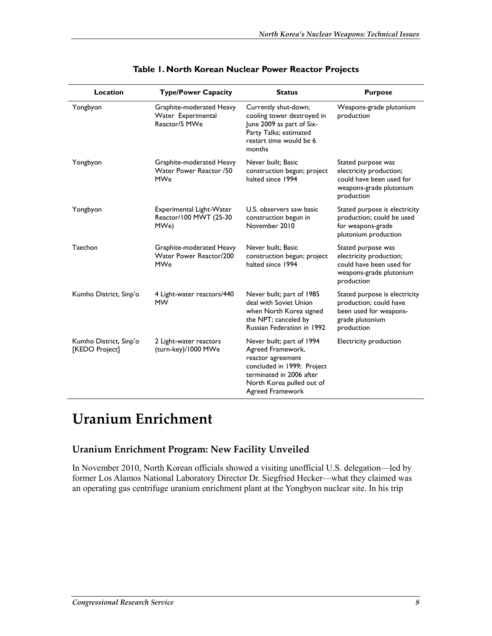| Location                                 | <b>Type/Power Capacity</b>                                        | <b>Status</b>                                                                                                                                                                  | <b>Purpose</b>                                                                                                     |
|------------------------------------------|-------------------------------------------------------------------|--------------------------------------------------------------------------------------------------------------------------------------------------------------------------------|--------------------------------------------------------------------------------------------------------------------|
| Yongbyon                                 | Graphite-moderated Heavy<br>Water Experimental<br>Reactor/5 MWe   | Currently shut-down;<br>cooling tower destroyed in<br>June 2009 as part of Six-<br>Party Talks; estimated<br>restart time would be 6<br>months                                 | Weapons-grade plutonium<br>production                                                                              |
| Yongbyon                                 | Graphite-moderated Heavy<br>Water Power Reactor /50<br><b>MWe</b> | Never built; Basic<br>construction begun; project<br>halted since 1994                                                                                                         | Stated purpose was<br>electricity production;<br>could have been used for<br>weapons-grade plutonium<br>production |
| Yongbyon                                 | Experimental Light-Water<br>Reactor/100 MWT (25-30<br>MWe)        | U.S. observers saw basic<br>construction begun in<br>November 2010                                                                                                             | Stated purpose is electricity<br>production; could be used<br>for weapons-grade<br>plutonium production            |
| Taechon                                  | Graphite-moderated Heavy<br>Water Power Reactor/200<br><b>MWe</b> | Never built; Basic<br>construction begun; project<br>halted since 1994                                                                                                         | Stated purpose was<br>electricity production;<br>could have been used for<br>weapons-grade plutonium<br>production |
| Kumho District, Sinp'o                   | 4 Light-water reactors/440<br><b>MW</b>                           | Never built; part of 1985<br>deal with Soviet Union<br>when North Korea signed<br>the NPT; canceled by<br><b>Russian Federation in 1992</b>                                    | Stated purpose is electricity<br>production; could have<br>been used for weapons-<br>grade plutonium<br>production |
| Kumho District, Sinp'o<br>[KEDO Project] | 2 Light-water reactors<br>(turn-key)/1000 MWe                     | Never built; part of 1994<br>Agreed Framework,<br>reactor agreement<br>concluded in 1999; Project<br>terminated in 2006 after<br>North Korea pulled out of<br>Agreed Framework | Electricity production                                                                                             |

|  |  |  |  |  |  | Table I. North Korean Nuclear Power Reactor Projects |
|--|--|--|--|--|--|------------------------------------------------------|
|--|--|--|--|--|--|------------------------------------------------------|

### **Uranium Enrichment**

#### **Uranium Enrichment Program: New Facility Unveiled**

In November 2010, North Korean officials showed a visiting unofficial U.S. delegation—led by former Los Alamos National Laboratory Director Dr. Siegfried Hecker—what they claimed was an operating gas centrifuge uranium enrichment plant at the Yongbyon nuclear site. In his trip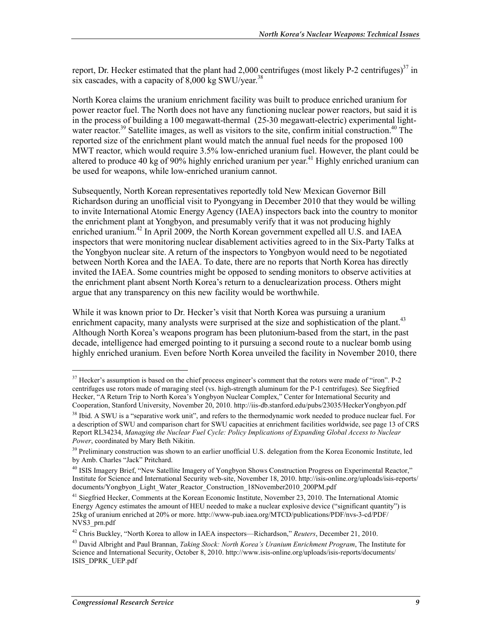report, Dr. Hecker estimated that the plant had 2,000 centrifuges (most likely P-2 centrifuges)<sup>37</sup> in six cascades, with a capacity of  $8,000$  kg SWU/year.<sup>38</sup>

North Korea claims the uranium enrichment facility was built to produce enriched uranium for power reactor fuel. The North does not have any functioning nuclear power reactors, but said it is in the process of building a 100 megawatt-thermal (25-30 megawatt-electric) experimental lightwater reactor.<sup>39</sup> Satellite images, as well as visitors to the site, confirm initial construction.<sup>40</sup> The reported size of the enrichment plant would match the annual fuel needs for the proposed 100 MWT reactor, which would require 3.5% low-enriched uranium fuel. However, the plant could be altered to produce 40 kg of 90% highly enriched uranium per year.<sup>41</sup> Highly enriched uranium can be used for weapons, while low-enriched uranium cannot.

Subsequently, North Korean representatives reportedly told New Mexican Governor Bill Richardson during an unofficial visit to Pyongyang in December 2010 that they would be willing to invite International Atomic Energy Agency (IAEA) inspectors back into the country to monitor the enrichment plant at Yongbyon, and presumably verify that it was not producing highly enriched uranium.<sup>42</sup> In April 2009, the North Korean government expelled all U.S. and IAEA inspectors that were monitoring nuclear disablement activities agreed to in the Six-Party Talks at the Yongbyon nuclear site. A return of the inspectors to Yongbyon would need to be negotiated between North Korea and the IAEA. To date, there are no reports that North Korea has directly invited the IAEA. Some countries might be opposed to sending monitors to observe activities at the enrichment plant absent North Korea's return to a denuclearization process. Others might argue that any transparency on this new facility would be worthwhile.

While it was known prior to Dr. Hecker's visit that North Korea was pursuing a uranium enrichment capacity, many analysts were surprised at the size and sophistication of the plant.<sup>43</sup> Although North Korea's weapons program has been plutonium-based from the start, in the past decade, intelligence had emerged pointing to it pursuing a second route to a nuclear bomb using highly enriched uranium. Even before North Korea unveiled the facility in November 2010, there

 $37$  Hecker's assumption is based on the chief process engineer's comment that the rotors were made of "iron". P-2 centrifuges use rotors made of maraging steel (vs. high-strength aluminum for the P-1 centrifuges). See Siegfried Hecker, "A Return Trip to North Korea's Yongbyon Nuclear Complex," Center for International Security and Cooperation, Stanford University, November 20, 2010. http://iis-db.stanford.edu/pubs/23035/HeckerYongbyon.pdf

<sup>&</sup>lt;sup>38</sup> Ibid. A SWU is a "separative work unit", and refers to the thermodynamic work needed to produce nuclear fuel. For a description of SWU and comparison chart for SWU capacities at enrichment facilities worldwide, see page 13 of CRS Report RL34234, *Managing the Nuclear Fuel Cycle: Policy Implications of Expanding Global Access to Nuclear Power*, coordinated by Mary Beth Nikitin.

<sup>&</sup>lt;sup>39</sup> Preliminary construction was shown to an earlier unofficial U.S. delegation from the Korea Economic Institute, led by Amb. Charles "Jack" Pritchard.

<sup>&</sup>lt;sup>40</sup> ISIS Imagery Brief, "New Satellite Imagery of Yongbyon Shows Construction Progress on Experimental Reactor," Institute for Science and International Security web-site, November 18, 2010. http://isis-online.org/uploads/isis-reports/ documents/Yongbyon\_Light\_Water\_Reactor\_Construction\_18November2010\_200PM.pdf

<sup>&</sup>lt;sup>41</sup> Siegfried Hecker, Comments at the Korean Economic Institute, November 23, 2010. The International Atomic Energy Agency estimates the amount of HEU needed to make a nuclear explosive device ("significant quantity") is 25kg of uranium enriched at 20% or more. http://www-pub.iaea.org/MTCD/publications/PDF/nvs-3-cd/PDF/ NVS3\_prn.pdf

<sup>42</sup> Chris Buckley, "North Korea to allow in IAEA inspectors—Richardson," *Reuters*, December 21, 2010.

<sup>43</sup> David Albright and Paul Brannan, *Taking Stock: North Korea's Uranium Enrichment Program*, The Institute for Science and International Security, October 8, 2010. http://www.isis-online.org/uploads/isis-reports/documents/ ISIS\_DPRK\_UEP.pdf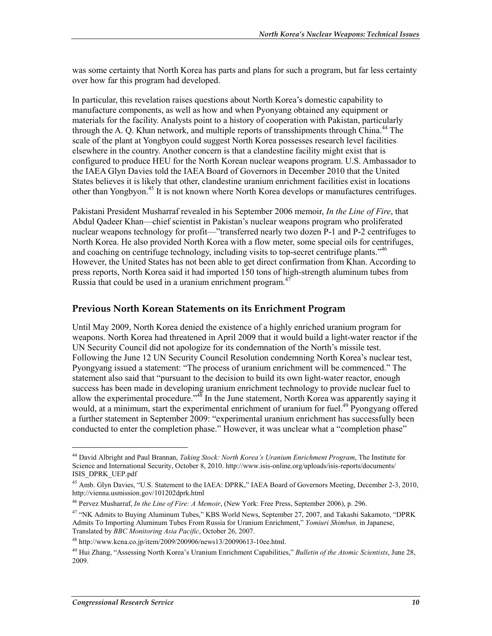was some certainty that North Korea has parts and plans for such a program, but far less certainty over how far this program had developed.

In particular, this revelation raises questions about North Korea's domestic capability to manufacture components, as well as how and when Pyonyang obtained any equipment or materials for the facility. Analysts point to a history of cooperation with Pakistan, particularly through the A. Q. Khan network, and multiple reports of transshipments through China.<sup>44</sup> The scale of the plant at Yongbyon could suggest North Korea possesses research level facilities elsewhere in the country. Another concern is that a clandestine facility might exist that is configured to produce HEU for the North Korean nuclear weapons program. U.S. Ambassador to the IAEA Glyn Davies told the IAEA Board of Governors in December 2010 that the United States believes it is likely that other, clandestine uranium enrichment facilities exist in locations other than Yongbyon.45 It is not known where North Korea develops or manufactures centrifuges.

Pakistani President Musharraf revealed in his September 2006 memoir, *In the Line of Fire*, that Abdul Qadeer Khan—chief scientist in Pakistan's nuclear weapons program who proliferated nuclear weapons technology for profit—"transferred nearly two dozen P-1 and P-2 centrifuges to North Korea. He also provided North Korea with a flow meter, some special oils for centrifuges, and coaching on centrifuge technology, including visits to top-secret centrifuge plants."<sup>46</sup> However, the United States has not been able to get direct confirmation from Khan. According to press reports, North Korea said it had imported 150 tons of high-strength aluminum tubes from Russia that could be used in a uranium enrichment program.<sup>47</sup>

#### **Previous North Korean Statements on its Enrichment Program**

Until May 2009, North Korea denied the existence of a highly enriched uranium program for weapons. North Korea had threatened in April 2009 that it would build a light-water reactor if the UN Security Council did not apologize for its condemnation of the North's missile test. Following the June 12 UN Security Council Resolution condemning North Korea's nuclear test, Pyongyang issued a statement: "The process of uranium enrichment will be commenced." The statement also said that "pursuant to the decision to build its own light-water reactor, enough success has been made in developing uranium enrichment technology to provide nuclear fuel to allow the experimental procedure."<sup>48</sup> In the June statement, North Korea was apparently saying it would, at a minimum, start the experimental enrichment of uranium for fuel.<sup>49</sup> Pyongyang offered a further statement in September 2009: "experimental uranium enrichment has successfully been conducted to enter the completion phase." However, it was unclear what a "completion phase"

<sup>44</sup> David Albright and Paul Brannan, *Taking Stock: North Korea's Uranium Enrichment Program*, The Institute for Science and International Security, October 8, 2010. http://www.isis-online.org/uploads/isis-reports/documents/ ISIS\_DPRK\_UEP.pdf

<sup>&</sup>lt;sup>45</sup> Amb. Glyn Davies, "U.S. Statement to the IAEA: DPRK," IAEA Board of Governors Meeting, December 2-3, 2010, http://vienna.usmission.gov/101202dprk.html

<sup>46</sup> Pervez Musharraf, *In the Line of Fire: A Memoir*, (New York: Free Press, September 2006), p. 296.

<sup>&</sup>lt;sup>47</sup> "NK Admits to Buying Aluminum Tubes," KBS World News, September 27, 2007, and Takashi Sakamoto, "DPRK Admits To Importing Aluminum Tubes From Russia for Uranium Enrichment," *Yomiuri Shimbun,* in Japanese, Translated by *BBC Monitoring Asia Pacific*, October 26, 2007.

<sup>48</sup> http://www.kcna.co.jp/item/2009/200906/news13/20090613-10ee.html.

<sup>49</sup> Hui Zhang, "Assessing North Korea's Uranium Enrichment Capabilities," *Bulletin of the Atomic Scientists*, June 28, 2009.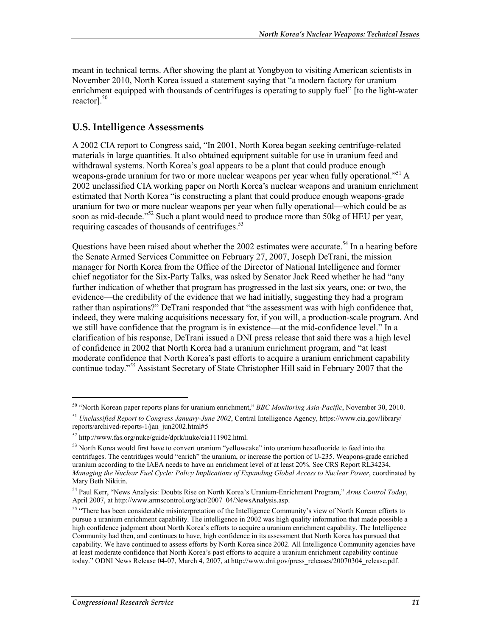meant in technical terms. After showing the plant at Yongbyon to visiting American scientists in November 2010, North Korea issued a statement saying that "a modern factory for uranium enrichment equipped with thousands of centrifuges is operating to supply fuel" [to the light-water reactor<sup>150</sup>

#### **U.S. Intelligence Assessments**

A 2002 CIA report to Congress said, "In 2001, North Korea began seeking centrifuge-related materials in large quantities. It also obtained equipment suitable for use in uranium feed and withdrawal systems. North Korea's goal appears to be a plant that could produce enough weapons-grade uranium for two or more nuclear weapons per year when fully operational."<sup>51</sup> A 2002 unclassified CIA working paper on North Korea's nuclear weapons and uranium enrichment estimated that North Korea "is constructing a plant that could produce enough weapons-grade uranium for two or more nuclear weapons per year when fully operational—which could be as soon as mid-decade."<sup>52</sup> Such a plant would need to produce more than 50kg of HEU per year, requiring cascades of thousands of centrifuges.<sup>53</sup>

Questions have been raised about whether the 2002 estimates were accurate.<sup>54</sup> In a hearing before the Senate Armed Services Committee on February 27, 2007, Joseph DeTrani, the mission manager for North Korea from the Office of the Director of National Intelligence and former chief negotiator for the Six-Party Talks, was asked by Senator Jack Reed whether he had "any further indication of whether that program has progressed in the last six years, one; or two, the evidence—the credibility of the evidence that we had initially, suggesting they had a program rather than aspirations?" DeTrani responded that "the assessment was with high confidence that, indeed, they were making acquisitions necessary for, if you will, a production-scale program. And we still have confidence that the program is in existence—at the mid-confidence level." In a clarification of his response, DeTrani issued a DNI press release that said there was a high level of confidence in 2002 that North Korea had a uranium enrichment program, and "at least moderate confidence that North Korea's past efforts to acquire a uranium enrichment capability continue today."55 Assistant Secretary of State Christopher Hill said in February 2007 that the

<sup>50 &</sup>quot;North Korean paper reports plans for uranium enrichment," *BBC Monitoring Asia-Pacific*, November 30, 2010.

<sup>51</sup> *Unclassified Report to Congress January-June 2002*, Central Intelligence Agency, https://www.cia.gov/library/ reports/archived-reports-1/jan\_jun2002.html#5

<sup>52</sup> http://www.fas.org/nuke/guide/dprk/nuke/cia111902.html.

 $53$  North Korea would first have to convert uranium "vellowcake" into uranium hexafluoride to feed into the centrifuges. The centrifuges would "enrich" the uranium, or increase the portion of U-235. Weapons-grade enriched uranium according to the IAEA needs to have an enrichment level of at least 20%. See CRS Report RL34234, *Managing the Nuclear Fuel Cycle: Policy Implications of Expanding Global Access to Nuclear Power*, coordinated by Mary Beth Nikitin.

<sup>54</sup> Paul Kerr, "News Analysis: Doubts Rise on North Korea's Uranium-Enrichment Program," *Arms Control Today*, April 2007, at http://www.armscontrol.org/act/2007\_04/NewsAnalysis.asp.

<sup>&</sup>lt;sup>55</sup> "There has been considerable misinterpretation of the Intelligence Community's view of North Korean efforts to pursue a uranium enrichment capability. The intelligence in 2002 was high quality information that made possible a high confidence judgment about North Korea's efforts to acquire a uranium enrichment capability. The Intelligence Community had then, and continues to have, high confidence in its assessment that North Korea has pursued that capability. We have continued to assess efforts by North Korea since 2002. All Intelligence Community agencies have at least moderate confidence that North Korea's past efforts to acquire a uranium enrichment capability continue today." ODNI News Release 04-07, March 4, 2007, at http://www.dni.gov/press\_releases/20070304\_release.pdf.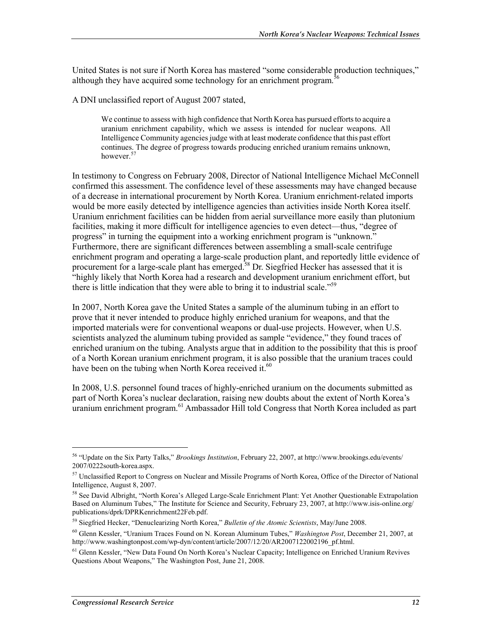United States is not sure if North Korea has mastered "some considerable production techniques," although they have acquired some technology for an enrichment program.<sup>56</sup>

A DNI unclassified report of August 2007 stated,

We continue to assess with high confidence that North Korea has pursued efforts to acquire a uranium enrichment capability, which we assess is intended for nuclear weapons. All Intelligence Community agencies judge with at least moderate confidence that this past effort continues. The degree of progress towards producing enriched uranium remains unknown, however.<sup>57</sup>

In testimony to Congress on February 2008, Director of National Intelligence Michael McConnell confirmed this assessment. The confidence level of these assessments may have changed because of a decrease in international procurement by North Korea. Uranium enrichment-related imports would be more easily detected by intelligence agencies than activities inside North Korea itself. Uranium enrichment facilities can be hidden from aerial surveillance more easily than plutonium facilities, making it more difficult for intelligence agencies to even detect—thus, "degree of progress" in turning the equipment into a working enrichment program is "unknown." Furthermore, there are significant differences between assembling a small-scale centrifuge enrichment program and operating a large-scale production plant, and reportedly little evidence of procurement for a large-scale plant has emerged.<sup>58</sup> Dr. Siegfried Hecker has assessed that it is "highly likely that North Korea had a research and development uranium enrichment effort, but there is little indication that they were able to bring it to industrial scale."<sup>59</sup>

In 2007, North Korea gave the United States a sample of the aluminum tubing in an effort to prove that it never intended to produce highly enriched uranium for weapons, and that the imported materials were for conventional weapons or dual-use projects. However, when U.S. scientists analyzed the aluminum tubing provided as sample "evidence," they found traces of enriched uranium on the tubing. Analysts argue that in addition to the possibility that this is proof of a North Korean uranium enrichment program, it is also possible that the uranium traces could have been on the tubing when North Korea received it. $60$ 

In 2008, U.S. personnel found traces of highly-enriched uranium on the documents submitted as part of North Korea's nuclear declaration, raising new doubts about the extent of North Korea's uranium enrichment program.<sup>61</sup> Ambassador Hill told Congress that North Korea included as part

<sup>56 &</sup>quot;Update on the Six Party Talks," *Brookings Institution*, February 22, 2007, at http://www.brookings.edu/events/  $2007/0222$ south-korea.aspx.

<sup>57</sup> Unclassified Report to Congress on Nuclear and Missile Programs of North Korea, Office of the Director of National Intelligence, August 8, 2007.

<sup>58</sup> See David Albright, "North Korea's Alleged Large-Scale Enrichment Plant: Yet Another Questionable Extrapolation Based on Aluminum Tubes," The Institute for Science and Security, February 23, 2007, at http://www.isis-online.org/ publications/dprk/DPRKenrichment22Feb.pdf.

<sup>59</sup> Siegfried Hecker, "Denuclearizing North Korea," *Bulletin of the Atomic Scientists*, May/June 2008.

<sup>60</sup> Glenn Kessler, "Uranium Traces Found on N. Korean Aluminum Tubes," *Washington Post*, December 21, 2007, at http://www.washingtonpost.com/wp-dyn/content/article/2007/12/20/AR2007122002196\_pf.html.

<sup>&</sup>lt;sup>61</sup> Glenn Kessler, "New Data Found On North Korea's Nuclear Capacity; Intelligence on Enriched Uranium Revives Questions About Weapons," The Washington Post, June 21, 2008.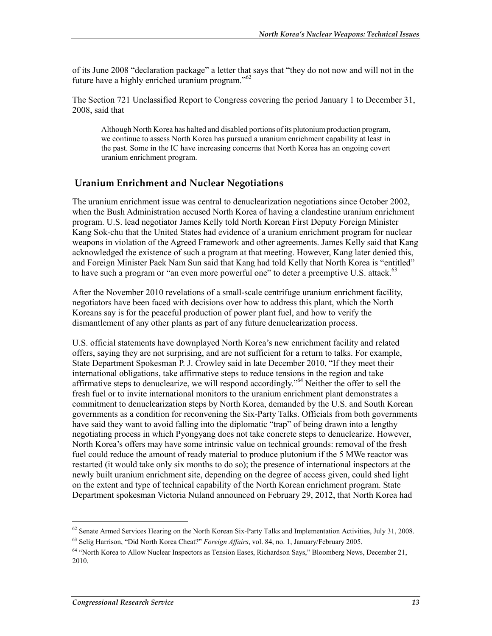of its June 2008 "declaration package" a letter that says that "they do not now and will not in the future have a highly enriched uranium program."62

The Section 721 Unclassified Report to Congress covering the period January 1 to December 31, 2008, said that

Although North Korea has halted and disabled portions of its plutonium production program, we continue to assess North Korea has pursued a uranium enrichment capability at least in the past. Some in the IC have increasing concerns that North Korea has an ongoing covert uranium enrichment program.

#### **Uranium Enrichment and Nuclear Negotiations**

The uranium enrichment issue was central to denuclearization negotiations since October 2002, when the Bush Administration accused North Korea of having a clandestine uranium enrichment program. U.S. lead negotiator James Kelly told North Korean First Deputy Foreign Minister Kang Sok-chu that the United States had evidence of a uranium enrichment program for nuclear weapons in violation of the Agreed Framework and other agreements. James Kelly said that Kang acknowledged the existence of such a program at that meeting. However, Kang later denied this, and Foreign Minister Paek Nam Sun said that Kang had told Kelly that North Korea is "entitled" to have such a program or "an even more powerful one" to deter a preemptive U.S. attack.<sup>63</sup>

After the November 2010 revelations of a small-scale centrifuge uranium enrichment facility, negotiators have been faced with decisions over how to address this plant, which the North Koreans say is for the peaceful production of power plant fuel, and how to verify the dismantlement of any other plants as part of any future denuclearization process.

U.S. official statements have downplayed North Korea's new enrichment facility and related offers, saying they are not surprising, and are not sufficient for a return to talks. For example, State Department Spokesman P. J. Crowley said in late December 2010, "If they meet their international obligations, take affirmative steps to reduce tensions in the region and take affirmative steps to denuclearize, we will respond accordingly."<sup>64</sup> Neither the offer to sell the fresh fuel or to invite international monitors to the uranium enrichment plant demonstrates a commitment to denuclearization steps by North Korea, demanded by the U.S. and South Korean governments as a condition for reconvening the Six-Party Talks. Officials from both governments have said they want to avoid falling into the diplomatic "trap" of being drawn into a lengthy negotiating process in which Pyongyang does not take concrete steps to denuclearize. However, North Korea's offers may have some intrinsic value on technical grounds: removal of the fresh fuel could reduce the amount of ready material to produce plutonium if the 5 MWe reactor was restarted (it would take only six months to do so); the presence of international inspectors at the newly built uranium enrichment site, depending on the degree of access given, could shed light on the extent and type of technical capability of the North Korean enrichment program. State Department spokesman Victoria Nuland announced on February 29, 2012, that North Korea had

 $62$  Senate Armed Services Hearing on the North Korean Six-Party Talks and Implementation Activities, July 31, 2008.

<sup>63</sup> Selig Harrison, "Did North Korea Cheat?" *Foreign Affairs*, vol. 84, no. 1, January/February 2005.

<sup>64 &</sup>quot;North Korea to Allow Nuclear Inspectors as Tension Eases, Richardson Says," Bloomberg News, December 21, 2010.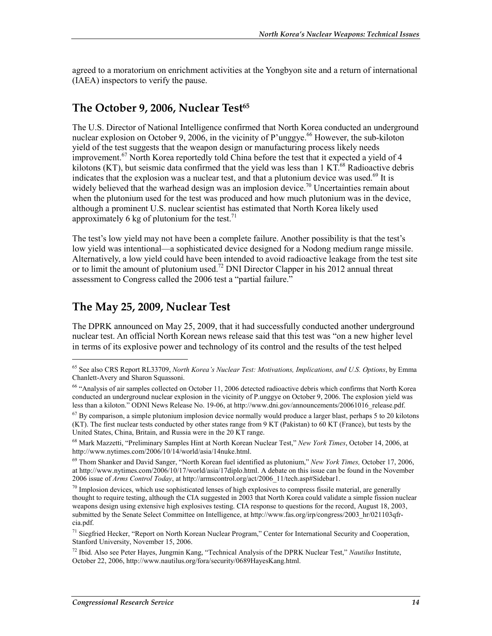agreed to a moratorium on enrichment activities at the Yongbyon site and a return of international (IAEA) inspectors to verify the pause.

#### The October 9, 2006, Nuclear Test<sup>65</sup>

The U.S. Director of National Intelligence confirmed that North Korea conducted an underground nuclear explosion on October 9, 2006, in the vicinity of P'unggye.<sup>66</sup> However, the sub-kiloton yield of the test suggests that the weapon design or manufacturing process likely needs improvement.<sup>67</sup> North Korea reportedly told China before the test that it expected a yield of 4 kilotons (KT), but seismic data confirmed that the yield was less than  $1$  KT.<sup>68</sup> Radioactive debris indicates that the explosion was a nuclear test, and that a plutonium device was used.<sup>69</sup> It is widely believed that the warhead design was an implosion device.<sup>70</sup> Uncertainties remain about when the plutonium used for the test was produced and how much plutonium was in the device, although a prominent U.S. nuclear scientist has estimated that North Korea likely used approximately 6 kg of plutonium for the test.<sup>71</sup>

The test's low yield may not have been a complete failure. Another possibility is that the test's low yield was intentional—a sophisticated device designed for a Nodong medium range missile. Alternatively, a low yield could have been intended to avoid radioactive leakage from the test site or to limit the amount of plutonium used.<sup>72</sup> DNI Director Clapper in his 2012 annual threat assessment to Congress called the 2006 test a "partial failure."

#### **The May 25, 2009, Nuclear Test**

1

The DPRK announced on May 25, 2009, that it had successfully conducted another underground nuclear test. An official North Korean news release said that this test was "on a new higher level in terms of its explosive power and technology of its control and the results of the test helped

68 Mark Mazzetti, "Preliminary Samples Hint at North Korean Nuclear Test," *New York Times*, October 14, 2006, at http://www.nytimes.com/2006/10/14/world/asia/14nuke.html.

69 Thom Shanker and David Sanger, "North Korean fuel identified as plutonium," *New York Times,* October 17, 2006, at http://www.nytimes.com/2006/10/17/world/asia/17diplo.html. A debate on this issue can be found in the November 2006 issue of *Arms Control Today*, at http://armscontrol.org/act/2006\_11/tech.asp#Sidebar1.

 $70$  Implosion devices, which use sophisticated lenses of high explosives to compress fissile material, are generally thought to require testing, although the CIA suggested in 2003 that North Korea could validate a simple fission nuclear weapons design using extensive high explosives testing. CIA response to questions for the record, August 18, 2003, submitted by the Senate Select Committee on Intelligence, at http://www.fas.org/irp/congress/2003\_hr/021103qfrcia.pdf.

<sup>71</sup> Siegfried Hecker, "Report on North Korean Nuclear Program," Center for International Security and Cooperation, Stanford University, November 15, 2006.

72 Ibid. Also see Peter Hayes, Jungmin Kang, "Technical Analysis of the DPRK Nuclear Test," *Nautilus* Institute, October 22, 2006, http://www.nautilus.org/fora/security/0689HayesKang.html.

<sup>65</sup> See also CRS Report RL33709, *North Korea's Nuclear Test: Motivations, Implications, and U.S. Options*, by Emma Chanlett-Avery and Sharon Squassoni.

<sup>&</sup>lt;sup>66</sup> "Analysis of air samples collected on October 11, 2006 detected radioactive debris which confirms that North Korea conducted an underground nuclear explosion in the vicinity of P.unggye on October 9, 2006. The explosion yield was less than a kiloton." ODNI News Release No. 19-06, at http://www.dni.gov/announcements/20061016 release.pdf.

 $67$  By comparison, a simple plutonium implosion device normally would produce a larger blast, perhaps 5 to 20 kilotons (KT). The first nuclear tests conducted by other states range from 9 KT (Pakistan) to 60 KT (France), but tests by the United States, China, Britain, and Russia were in the 20 KT range.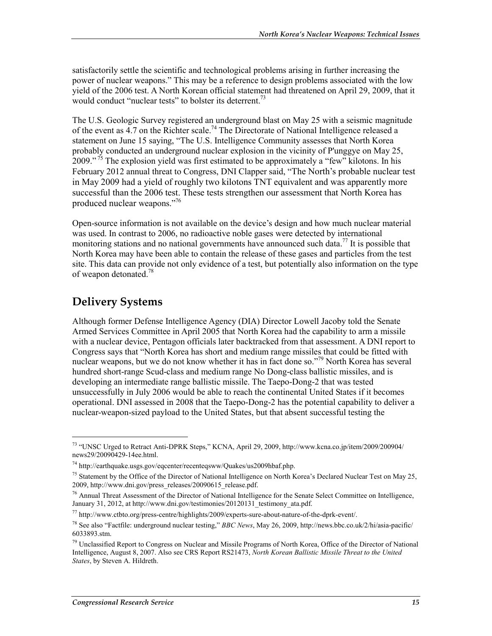satisfactorily settle the scientific and technological problems arising in further increasing the power of nuclear weapons." This may be a reference to design problems associated with the low yield of the 2006 test. A North Korean official statement had threatened on April 29, 2009, that it would conduct "nuclear tests" to bolster its deterrent.<sup>73</sup>

The U.S. Geologic Survey registered an underground blast on May 25 with a seismic magnitude of the event as 4.7 on the Richter scale.<sup>74</sup> The Directorate of National Intelligence released a statement on June 15 saying, "The U.S. Intelligence Community assesses that North Korea probably conducted an underground nuclear explosion in the vicinity of P'unggye on May 25, 2009."<sup>75</sup> The explosion yield was first estimated to be approximately a "few" kilotons. In his February 2012 annual threat to Congress, DNI Clapper said, "The North's probable nuclear test in May 2009 had a yield of roughly two kilotons TNT equivalent and was apparently more successful than the 2006 test. These tests strengthen our assessment that North Korea has produced nuclear weapons."<sup>76</sup>

Open-source information is not available on the device's design and how much nuclear material was used. In contrast to 2006, no radioactive noble gases were detected by international monitoring stations and no national governments have announced such data.<sup>77</sup> It is possible that North Korea may have been able to contain the release of these gases and particles from the test site. This data can provide not only evidence of a test, but potentially also information on the type of weapon detonated.78

### **Delivery Systems**

1

Although former Defense Intelligence Agency (DIA) Director Lowell Jacoby told the Senate Armed Services Committee in April 2005 that North Korea had the capability to arm a missile with a nuclear device, Pentagon officials later backtracked from that assessment. A DNI report to Congress says that "North Korea has short and medium range missiles that could be fitted with nuclear weapons, but we do not know whether it has in fact done so."<sup>79</sup> North Korea has several hundred short-range Scud-class and medium range No Dong-class ballistic missiles, and is developing an intermediate range ballistic missile. The Taepo-Dong-2 that was tested unsuccessfully in July 2006 would be able to reach the continental United States if it becomes operational. DNI assessed in 2008 that the Taepo-Dong-2 has the potential capability to deliver a nuclear-weapon-sized payload to the United States, but that absent successful testing the

<sup>73 &</sup>quot;UNSC Urged to Retract Anti-DPRK Steps," KCNA, April 29, 2009, http://www.kcna.co.jp/item/2009/200904/ news29/20090429-14ee.html.

<sup>74</sup> http://earthquake.usgs.gov/eqcenter/recenteqsww/Quakes/us2009hbaf.php.

<sup>&</sup>lt;sup>75</sup> Statement by the Office of the Director of National Intelligence on North Korea's Declared Nuclear Test on May 25, 2009, http://www.dni.gov/press\_releases/20090615\_release.pdf.

<sup>&</sup>lt;sup>76</sup> Annual Threat Assessment of the Director of National Intelligence for the Senate Select Committee on Intelligence, January 31, 2012, at http://www.dni.gov/testimonies/20120131\_testimony\_ata.pdf.

<sup>77</sup> http://www.ctbto.org/press-centre/highlights/2009/experts-sure-about-nature-of-the-dprk-event/.

<sup>78</sup> See also "Factfile: underground nuclear testing," *BBC News*, May 26, 2009, http://news.bbc.co.uk/2/hi/asia-pacific/ 6033893.stm.

<sup>&</sup>lt;sup>79</sup> Unclassified Report to Congress on Nuclear and Missile Programs of North Korea, Office of the Director of National Intelligence, August 8, 2007. Also see CRS Report RS21473, *North Korean Ballistic Missile Threat to the United States*, by Steven A. Hildreth.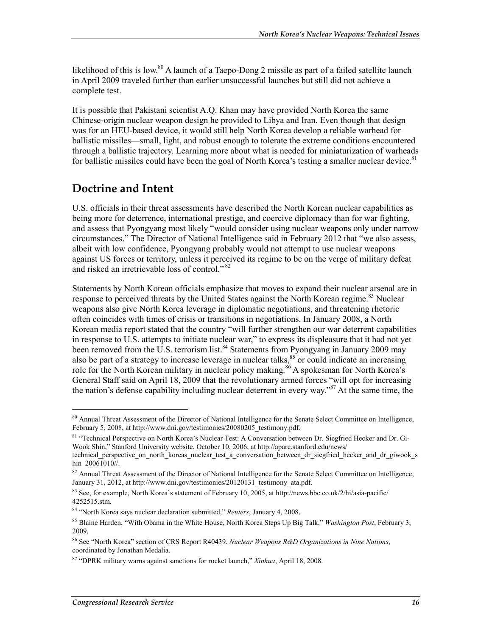likelihood of this is low.<sup>80</sup> A launch of a Taepo-Dong 2 missile as part of a failed satellite launch in April 2009 traveled further than earlier unsuccessful launches but still did not achieve a complete test.

It is possible that Pakistani scientist A.Q. Khan may have provided North Korea the same Chinese-origin nuclear weapon design he provided to Libya and Iran. Even though that design was for an HEU-based device, it would still help North Korea develop a reliable warhead for ballistic missiles—small, light, and robust enough to tolerate the extreme conditions encountered through a ballistic trajectory. Learning more about what is needed for miniaturization of warheads for ballistic missiles could have been the goal of North Korea's testing a smaller nuclear device.<sup>81</sup>

#### **Doctrine and Intent**

U.S. officials in their threat assessments have described the North Korean nuclear capabilities as being more for deterrence, international prestige, and coercive diplomacy than for war fighting, and assess that Pyongyang most likely "would consider using nuclear weapons only under narrow circumstances." The Director of National Intelligence said in February 2012 that "we also assess, albeit with low confidence, Pyongyang probably would not attempt to use nuclear weapons against US forces or territory, unless it perceived its regime to be on the verge of military defeat and risked an irretrievable loss of control." 82

Statements by North Korean officials emphasize that moves to expand their nuclear arsenal are in response to perceived threats by the United States against the North Korean regime.<sup>83</sup> Nuclear weapons also give North Korea leverage in diplomatic negotiations, and threatening rhetoric often coincides with times of crisis or transitions in negotiations. In January 2008, a North Korean media report stated that the country "will further strengthen our war deterrent capabilities in response to U.S. attempts to initiate nuclear war," to express its displeasure that it had not yet been removed from the U.S. terrorism list.<sup>84</sup> Statements from Pyongyang in January 2009 may also be part of a strategy to increase leverage in nuclear talks, $85$  or could indicate an increasing role for the North Korean military in nuclear policy making.<sup>86</sup> A spokesman for North Korea's General Staff said on April 18, 2009 that the revolutionary armed forces "will opt for increasing the nation's defense capability including nuclear deterrent in every way."87 At the same time, the

 $\overline{a}$ 

<sup>&</sup>lt;sup>80</sup> Annual Threat Assessment of the Director of National Intelligence for the Senate Select Committee on Intelligence, February 5, 2008, at http://www.dni.gov/testimonies/20080205\_testimony.pdf.

<sup>81 &</sup>quot;Technical Perspective on North Korea's Nuclear Test: A Conversation between Dr. Siegfried Hecker and Dr. Gi-Wook Shin," Stanford University website, October 10, 2006, at http://aparc.stanford.edu/news/

technical\_perspective\_on\_north\_koreas\_nuclear\_test\_a\_conversation\_between\_dr\_siegfried\_hecker\_and\_dr\_giwook\_s hin  $20061010$ //.

 $82$  Annual Threat Assessment of the Director of National Intelligence for the Senate Select Committee on Intelligence, January 31, 2012, at http://www.dni.gov/testimonies/20120131\_testimony\_ata.pdf.

<sup>83</sup> See, for example, North Korea's statement of February 10, 2005, at http://news.bbc.co.uk/2/hi/asia-pacific/ 4252515.stm.

<sup>84 &</sup>quot;North Korea says nuclear declaration submitted," *Reuters*, January 4, 2008.

<sup>85</sup> Blaine Harden, "With Obama in the White House, North Korea Steps Up Big Talk," *Washington Post*, February 3, 2009.

<sup>86</sup> See "North Korea" section of CRS Report R40439, *Nuclear Weapons R&D Organizations in Nine Nations*, coordinated by Jonathan Medalia.

<sup>87 &</sup>quot;DPRK military warns against sanctions for rocket launch," *Xinhua*, April 18, 2008.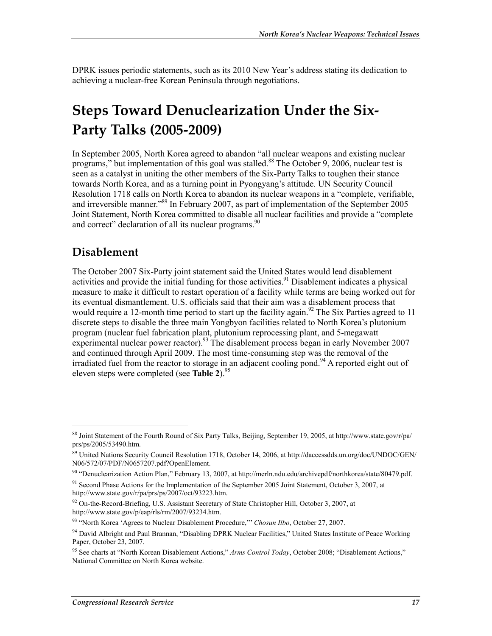DPRK issues periodic statements, such as its 2010 New Year's address stating its dedication to achieving a nuclear-free Korean Peninsula through negotiations.

## **Steps Toward Denuclearization Under the Six-Party Talks (2005-2009)**

In September 2005, North Korea agreed to abandon "all nuclear weapons and existing nuclear programs," but implementation of this goal was stalled.<sup>88</sup> The October 9, 2006, nuclear test is seen as a catalyst in uniting the other members of the Six-Party Talks to toughen their stance towards North Korea, and as a turning point in Pyongyang's attitude. UN Security Council Resolution 1718 calls on North Korea to abandon its nuclear weapons in a "complete, verifiable, and irreversible manner."<sup>89</sup> In February 2007, as part of implementation of the September 2005 Joint Statement, North Korea committed to disable all nuclear facilities and provide a "complete and correct" declaration of all its nuclear programs.<sup>90</sup>

#### **Disablement**

 $\overline{a}$ 

The October 2007 Six-Party joint statement said the United States would lead disablement activities and provide the initial funding for those activities.<sup>91</sup> Disablement indicates a physical measure to make it difficult to restart operation of a facility while terms are being worked out for its eventual dismantlement. U.S. officials said that their aim was a disablement process that would require a 12-month time period to start up the facility again.<sup>92</sup> The Six Parties agreed to 11 discrete steps to disable the three main Yongbyon facilities related to North Korea's plutonium program (nuclear fuel fabrication plant, plutonium reprocessing plant, and 5-megawatt experimental nuclear power reactor).<sup>93</sup> The disablement process began in early November 2007 and continued through April 2009. The most time-consuming step was the removal of the irradiated fuel from the reactor to storage in an adjacent cooling pond.<sup>94</sup> A reported eight out of eleven steps were completed (see **Table 2**).<sup>95</sup>

<sup>&</sup>lt;sup>88</sup> Joint Statement of the Fourth Round of Six Party Talks, Beijing, September 19, 2005, at http://www.state.gov/r/pa/ prs/ps/2005/53490.htm.

<sup>89</sup> United Nations Security Council Resolution 1718, October 14, 2006, at http://daccessdds.un.org/doc/UNDOC/GEN/ N06/572/07/PDF/N0657207.pdf?OpenElement.

<sup>90 &</sup>quot;Denuclearization Action Plan," February 13, 2007, at http://merln.ndu.edu/archivepdf/northkorea/state/80479.pdf.

<sup>&</sup>lt;sup>91</sup> Second Phase Actions for the Implementation of the September 2005 Joint Statement, October 3, 2007, at http://www.state.gov/r/pa/prs/ps/2007/oct/93223.htm.

<sup>&</sup>lt;sup>92</sup> On-the-Record-Briefing, U.S. Assistant Secretary of State Christopher Hill, October 3, 2007, at http://www.state.gov/p/eap/rls/rm/2007/93234.htm.

<sup>93 &</sup>quot;North Korea 'Agrees to Nuclear Disablement Procedure,'" *Chosun Ilbo*, October 27, 2007.

<sup>&</sup>lt;sup>94</sup> David Albright and Paul Brannan, "Disabling DPRK Nuclear Facilities," United States Institute of Peace Working Paper, October 23, 2007.

<sup>95</sup> See charts at "North Korean Disablement Actions," *Arms Control Today*, October 2008; "Disablement Actions," National Committee on North Korea website.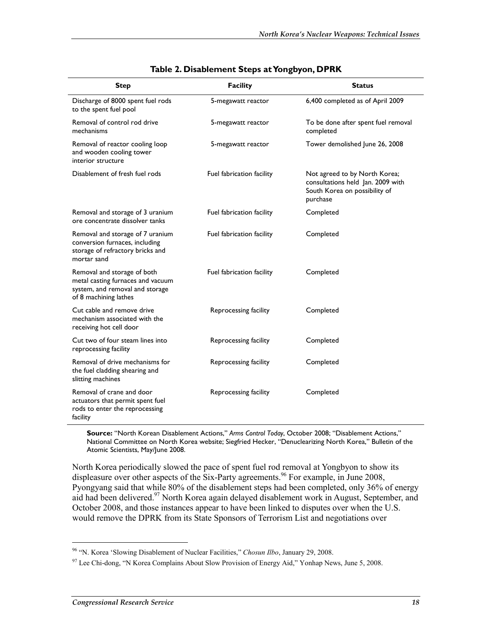| <b>Step</b>                                                                                                                  | <b>Facility</b>           | <b>Status</b>                                                                                                   |
|------------------------------------------------------------------------------------------------------------------------------|---------------------------|-----------------------------------------------------------------------------------------------------------------|
| Discharge of 8000 spent fuel rods<br>to the spent fuel pool                                                                  | 5-megawatt reactor        | 6,400 completed as of April 2009                                                                                |
| Removal of control rod drive<br>mechanisms                                                                                   | 5-megawatt reactor        | To be done after spent fuel removal<br>completed                                                                |
| Removal of reactor cooling loop<br>and wooden cooling tower<br>interior structure                                            | 5-megawatt reactor        | Tower demolished June 26, 2008                                                                                  |
| Disablement of fresh fuel rods                                                                                               | Fuel fabrication facility | Not agreed to by North Korea;<br>consultations held Jan. 2009 with<br>South Korea on possibility of<br>purchase |
| Removal and storage of 3 uranium<br>ore concentrate dissolver tanks                                                          | Fuel fabrication facility | Completed                                                                                                       |
| Removal and storage of 7 uranium<br>conversion furnaces, including<br>storage of refractory bricks and<br>mortar sand        | Fuel fabrication facility | Completed                                                                                                       |
| Removal and storage of both<br>metal casting furnaces and vacuum<br>system, and removal and storage<br>of 8 machining lathes | Fuel fabrication facility | Completed                                                                                                       |
| Cut cable and remove drive<br>mechanism associated with the<br>receiving hot cell door                                       | Reprocessing facility     | Completed                                                                                                       |
| Cut two of four steam lines into<br>reprocessing facility                                                                    | Reprocessing facility     | Completed                                                                                                       |
| Removal of drive mechanisms for<br>the fuel cladding shearing and<br>slitting machines                                       | Reprocessing facility     | Completed                                                                                                       |
| Removal of crane and door<br>actuators that permit spent fuel<br>rods to enter the reprocessing<br>facility                  | Reprocessing facility     | Completed                                                                                                       |

#### **Table 2. Disablement Steps at Yongbyon, DPRK**

**Source:** "North Korean Disablement Actions," *Arms Control Today*, October 2008; "Disablement Actions," National Committee on North Korea website; Siegfried Hecker, "Denuclearizing North Korea," Bulletin of the Atomic Scientists, May/June 2008.

North Korea periodically slowed the pace of spent fuel rod removal at Yongbyon to show its displeasure over other aspects of the Six-Party agreements.<sup>96</sup> For example, in June 2008, Pyongyang said that while 80% of the disablement steps had been completed, only 36% of energy aid had been delivered.<sup>97</sup> North Korea again delayed disablement work in August, September, and October 2008, and those instances appear to have been linked to disputes over when the U.S. would remove the DPRK from its State Sponsors of Terrorism List and negotiations over

<sup>96 &</sup>quot;N. Korea 'Slowing Disablement of Nuclear Facilities," *Chosun Ilbo*, January 29, 2008.

<sup>&</sup>lt;sup>97</sup> Lee Chi-dong, "N Korea Complains About Slow Provision of Energy Aid," Yonhap News, June 5, 2008.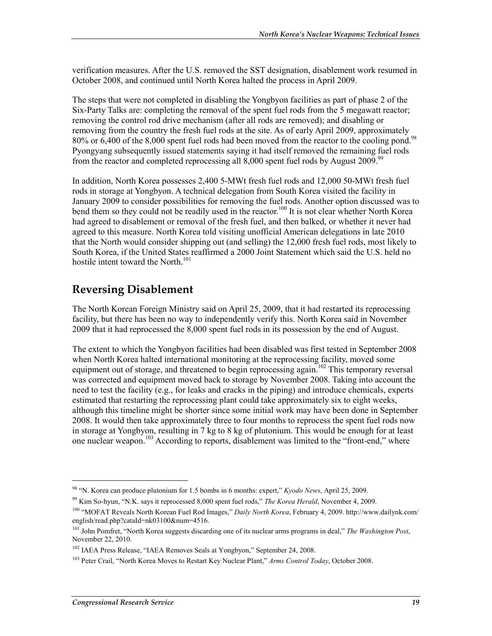verification measures. After the U.S. removed the SST designation, disablement work resumed in October 2008, and continued until North Korea halted the process in April 2009.

The steps that were not completed in disabling the Yongbyon facilities as part of phase 2 of the Six-Party Talks are: completing the removal of the spent fuel rods from the 5 megawatt reactor; removing the control rod drive mechanism (after all rods are removed); and disabling or removing from the country the fresh fuel rods at the site. As of early April 2009, approximately 80% or 6,400 of the 8,000 spent fuel rods had been moved from the reactor to the cooling pond.<sup>98</sup> Pyongyang subsequently issued statements saying it had itself removed the remaining fuel rods from the reactor and completed reprocessing all  $\overline{8,000}$  spent fuel rods by August 2009.<sup>99</sup>

In addition, North Korea possesses 2,400 5-MWt fresh fuel rods and 12,000 50-MWt fresh fuel rods in storage at Yongbyon. A technical delegation from South Korea visited the facility in January 2009 to consider possibilities for removing the fuel rods. Another option discussed was to bend them so they could not be readily used in the reactor.<sup>100</sup> It is not clear whether North Korea had agreed to disablement or removal of the fresh fuel, and then balked, or whether it never had agreed to this measure. North Korea told visiting unofficial American delegations in late 2010 that the North would consider shipping out (and selling) the 12,000 fresh fuel rods, most likely to South Korea, if the United States reaffirmed a 2000 Joint Statement which said the U.S. held no hostile intent toward the North. $101$ 

#### **Reversing Disablement**

The North Korean Foreign Ministry said on April 25, 2009, that it had restarted its reprocessing facility, but there has been no way to independently verify this. North Korea said in November 2009 that it had reprocessed the 8,000 spent fuel rods in its possession by the end of August.

The extent to which the Yongbyon facilities had been disabled was first tested in September 2008 when North Korea halted international monitoring at the reprocessing facility, moved some equipment out of storage, and threatened to begin reprocessing again.<sup>102</sup> This temporary reversal was corrected and equipment moved back to storage by November 2008. Taking into account the need to test the facility (e.g., for leaks and cracks in the piping) and introduce chemicals, experts estimated that restarting the reprocessing plant could take approximately six to eight weeks, although this timeline might be shorter since some initial work may have been done in September 2008. It would then take approximately three to four months to reprocess the spent fuel rods now in storage at Yongbyon, resulting in 7 kg to 8 kg of plutonium. This would be enough for at least one nuclear weapon.<sup>103</sup> According to reports, disablement was limited to the "front-end," where

<sup>98 &</sup>quot;N. Korea can produce plutonium for 1.5 bombs in 6 months: expert," *Kyodo News*, April 25, 2009.

<sup>99</sup> Kim So-hyun, "N.K. says it reprocessed 8,000 spent fuel rods," *The Korea Herald*, November 4, 2009.

<sup>100 &</sup>quot;MOFAT Reveals North Korean Fuel Rod Images," *Daily North Korea*, February 4, 2009. http://www.dailynk.com/ english/read.php?cataId=nk03100&num=4516.

<sup>101</sup> John Pomfret, "North Korea suggests discarding one of its nuclear arms programs in deal," *The Washington Post*, November 22, 2010.

<sup>102</sup> IAEA Press Release, "IAEA Removes Seals at Yongbyon," September 24, 2008.

<sup>103</sup> Peter Crail, "North Korea Moves to Restart Key Nuclear Plant," *Arms Control Today*, October 2008.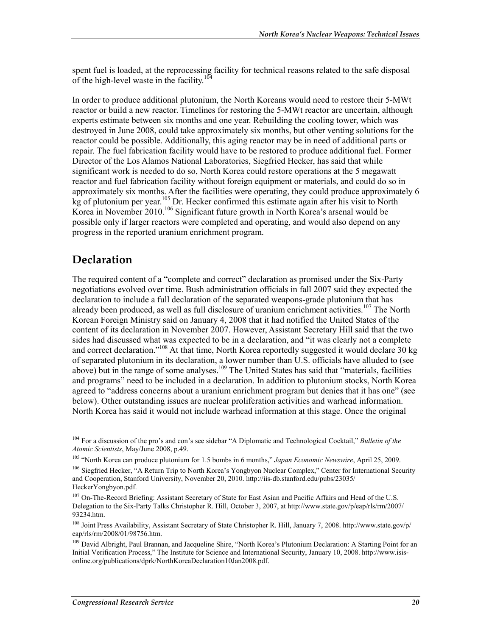spent fuel is loaded, at the reprocessing facility for technical reasons related to the safe disposal of the high-level waste in the facility.<sup>104</sup>

In order to produce additional plutonium, the North Koreans would need to restore their 5-MWt reactor or build a new reactor. Timelines for restoring the 5-MWt reactor are uncertain, although experts estimate between six months and one year. Rebuilding the cooling tower, which was destroyed in June 2008, could take approximately six months, but other venting solutions for the reactor could be possible. Additionally, this aging reactor may be in need of additional parts or repair. The fuel fabrication facility would have to be restored to produce additional fuel. Former Director of the Los Alamos National Laboratories, Siegfried Hecker, has said that while significant work is needed to do so, North Korea could restore operations at the 5 megawatt reactor and fuel fabrication facility without foreign equipment or materials, and could do so in approximately six months. After the facilities were operating, they could produce approximately 6 kg of plutonium per year.<sup>105</sup> Dr. Hecker confirmed this estimate again after his visit to North Korea in November 2010.<sup>106</sup> Significant future growth in North Korea's arsenal would be possible only if larger reactors were completed and operating, and would also depend on any progress in the reported uranium enrichment program.

### **Declaration**

 $\overline{a}$ 

The required content of a "complete and correct" declaration as promised under the Six-Party negotiations evolved over time. Bush administration officials in fall 2007 said they expected the declaration to include a full declaration of the separated weapons-grade plutonium that has already been produced, as well as full disclosure of uranium enrichment activities.<sup>107</sup> The North Korean Foreign Ministry said on January 4, 2008 that it had notified the United States of the content of its declaration in November 2007. However, Assistant Secretary Hill said that the two sides had discussed what was expected to be in a declaration, and "it was clearly not a complete and correct declaration."<sup>108</sup> At that time, North Korea reportedly suggested it would declare 30 kg of separated plutonium in its declaration, a lower number than U.S. officials have alluded to (see above) but in the range of some analyses.<sup>109</sup> The United States has said that "materials, facilities and programs" need to be included in a declaration. In addition to plutonium stocks, North Korea agreed to "address concerns about a uranium enrichment program but denies that it has one" (see below). Other outstanding issues are nuclear proliferation activities and warhead information. North Korea has said it would not include warhead information at this stage. Once the original

<sup>104</sup> For a discussion of the pro's and con's see sidebar "A Diplomatic and Technological Cocktail," *Bulletin of the Atomic Scientists*, May/June 2008, p.49.

<sup>105 &</sup>quot;North Korea can produce plutonium for 1.5 bombs in 6 months," *Japan Economic Newswire*, April 25, 2009.

<sup>&</sup>lt;sup>106</sup> Siegfried Hecker, "A Return Trip to North Korea's Yongbyon Nuclear Complex," Center for International Security and Cooperation, Stanford University, November 20, 2010. http://iis-db.stanford.edu/pubs/23035/ HeckerYongbyon.pdf.

<sup>&</sup>lt;sup>107</sup> On-The-Record Briefing: Assistant Secretary of State for East Asian and Pacific Affairs and Head of the U.S. Delegation to the Six-Party Talks Christopher R. Hill, October 3, 2007, at http://www.state.gov/p/eap/rls/rm/2007/ 93234.htm.

<sup>108</sup> Joint Press Availability, Assistant Secretary of State Christopher R. Hill, January 7, 2008. http://www.state.gov/p/ eap/rls/rm/2008/01/98756.htm.

<sup>109</sup> David Albright, Paul Brannan, and Jacqueline Shire, "North Korea's Plutonium Declaration: A Starting Point for an Initial Verification Process," The Institute for Science and International Security, January 10, 2008. http://www.isisonline.org/publications/dprk/NorthKoreaDeclaration10Jan2008.pdf.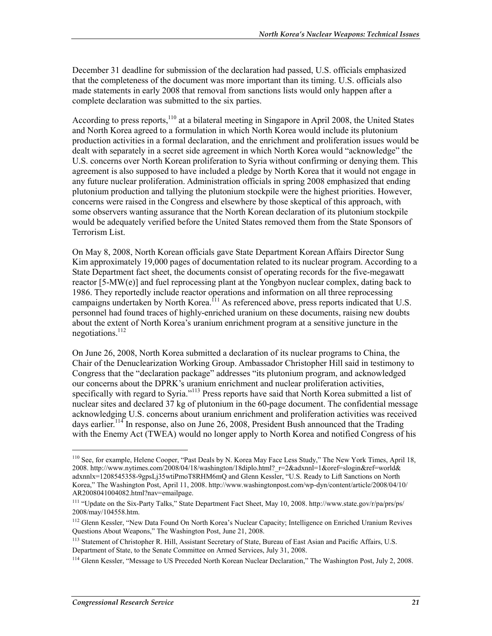December 31 deadline for submission of the declaration had passed, U.S. officials emphasized that the completeness of the document was more important than its timing. U.S. officials also made statements in early 2008 that removal from sanctions lists would only happen after a complete declaration was submitted to the six parties.

According to press reports,<sup>110</sup> at a bilateral meeting in Singapore in April 2008, the United States and North Korea agreed to a formulation in which North Korea would include its plutonium production activities in a formal declaration, and the enrichment and proliferation issues would be dealt with separately in a secret side agreement in which North Korea would "acknowledge" the U.S. concerns over North Korean proliferation to Syria without confirming or denying them. This agreement is also supposed to have included a pledge by North Korea that it would not engage in any future nuclear proliferation. Administration officials in spring 2008 emphasized that ending plutonium production and tallying the plutonium stockpile were the highest priorities. However, concerns were raised in the Congress and elsewhere by those skeptical of this approach, with some observers wanting assurance that the North Korean declaration of its plutonium stockpile would be adequately verified before the United States removed them from the State Sponsors of Terrorism List.

On May 8, 2008, North Korean officials gave State Department Korean Affairs Director Sung Kim approximately 19,000 pages of documentation related to its nuclear program. According to a State Department fact sheet, the documents consist of operating records for the five-megawatt reactor [5-MW(e)] and fuel reprocessing plant at the Yongbyon nuclear complex, dating back to 1986. They reportedly include reactor operations and information on all three reprocessing campaigns undertaken by North Korea.<sup>111</sup> As referenced above, press reports indicated that U.S. personnel had found traces of highly-enriched uranium on these documents, raising new doubts about the extent of North Korea's uranium enrichment program at a sensitive juncture in the negotiations.<sup>112</sup>

On June 26, 2008, North Korea submitted a declaration of its nuclear programs to China, the Chair of the Denuclearization Working Group. Ambassador Christopher Hill said in testimony to Congress that the "declaration package" addresses "its plutonium program, and acknowledged our concerns about the DPRK's uranium enrichment and nuclear proliferation activities, specifically with regard to Syria."<sup>113</sup> Press reports have said that North Korea submitted a list of nuclear sites and declared 37 kg of plutonium in the 60-page document. The confidential message acknowledging U.S. concerns about uranium enrichment and proliferation activities was received days earlier.<sup>114</sup> In response, also on June 26, 2008, President Bush announced that the Trading with the Enemy Act (TWEA) would no longer apply to North Korea and notified Congress of his

<sup>&</sup>lt;sup>110</sup> See, for example, Helene Cooper, "Past Deals by N. Korea May Face Less Study," The New York Times, April 18, 2008. http://www.nytimes.com/2008/04/18/washington/18diplo.html?\_r=2&adxnnl=1&oref=slogin&ref=world& adxnnlx=1208545358-9gpsLj35wtiPmoT8RHM6mQ and Glenn Kessler, "U.S. Ready to Lift Sanctions on North Korea," The Washington Post, April 11, 2008. http://www.washingtonpost.com/wp-dyn/content/article/2008/04/10/ AR2008041004082.html?nav=emailpage.

<sup>111 &</sup>quot;Update on the Six-Party Talks," State Department Fact Sheet, May 10, 2008. http://www.state.gov/r/pa/prs/ps/ 2008/may/104558.htm.

<sup>112</sup> Glenn Kessler, "New Data Found On North Korea's Nuclear Capacity; Intelligence on Enriched Uranium Revives Questions About Weapons," The Washington Post, June 21, 2008.

<sup>&</sup>lt;sup>113</sup> Statement of Christopher R. Hill, Assistant Secretary of State, Bureau of East Asian and Pacific Affairs, U.S. Department of State, to the Senate Committee on Armed Services, July 31, 2008.

<sup>&</sup>lt;sup>114</sup> Glenn Kessler, "Message to US Preceded North Korean Nuclear Declaration," The Washington Post, July 2, 2008.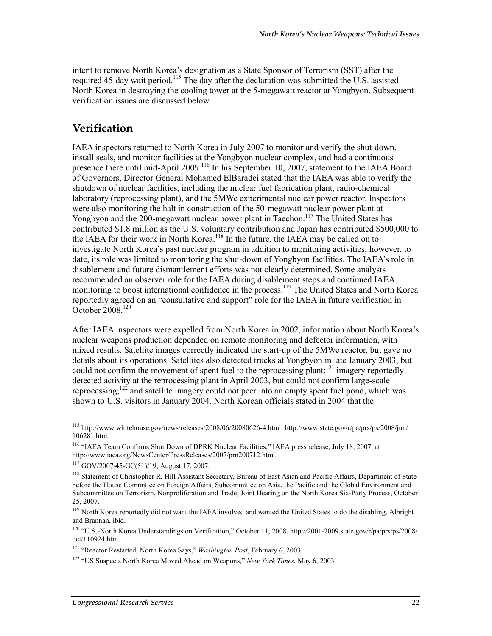intent to remove North Korea's designation as a State Sponsor of Terrorism (SST) after the required 45-day wait period.<sup>115</sup> The day after the declaration was submitted the U.S. assisted North Korea in destroying the cooling tower at the 5-megawatt reactor at Yongbyon. Subsequent verification issues are discussed below.

#### **Verification**

IAEA inspectors returned to North Korea in July 2007 to monitor and verify the shut-down, install seals, and monitor facilities at the Yongbyon nuclear complex, and had a continuous presence there until mid-April 2009.<sup>116</sup> In his September 10, 2007, statement to the IAEA Board of Governors, Director General Mohamed ElBaradei stated that the IAEA was able to verify the shutdown of nuclear facilities, including the nuclear fuel fabrication plant, radio-chemical laboratory (reprocessing plant), and the 5MWe experimental nuclear power reactor. Inspectors were also monitoring the halt in construction of the 50-megawatt nuclear power plant at Yongbyon and the 200-megawatt nuclear power plant in Taechon.<sup>117</sup> The United States has contributed \$1.8 million as the U.S. voluntary contribution and Japan has contributed \$500,000 to the IAEA for their work in North Korea.<sup>118</sup> In the future, the IAEA may be called on to investigate North Korea's past nuclear program in addition to monitoring activities; however, to date, its role was limited to monitoring the shut-down of Yongbyon facilities. The IAEA's role in disablement and future dismantlement efforts was not clearly determined. Some analysts recommended an observer role for the IAEA during disablement steps and continued IAEA monitoring to boost international confidence in the process.<sup>119</sup> The United States and North Korea reportedly agreed on an "consultative and support" role for the IAEA in future verification in October  $2008$ <sup>120</sup>

After IAEA inspectors were expelled from North Korea in 2002, information about North Korea's nuclear weapons production depended on remote monitoring and defector information, with mixed results. Satellite images correctly indicated the start-up of the 5MWe reactor, but gave no details about its operations. Satellites also detected trucks at Yongbyon in late January 2003, but could not confirm the movement of spent fuel to the reprocessing plant;<sup>121</sup> imagery reportedly detected activity at the reprocessing plant in April 2003, but could not confirm large-scale reprocessing;<sup>122</sup> and satellite imagery could not peer into an empty spent fuel pond, which was shown to U.S. visitors in January 2004. North Korean officials stated in 2004 that the

<sup>115</sup> http://www.whitehouse.gov/news/releases/2008/06/20080626-4.html; http://www.state.gov/r/pa/prs/ps/2008/jun/ 106281.htm.

<sup>116 &</sup>quot;IAEA Team Confirms Shut Down of DPRK Nuclear Facilities," IAEA press release, July 18, 2007, at http://www.iaea.org/NewsCenter/PressReleases/2007/prn200712.html.

<sup>117</sup> GOV/2007/45-GC(51)/19, August 17, 2007.

<sup>&</sup>lt;sup>118</sup> Statement of Christopher R. Hill Assistant Secretary, Bureau of East Asian and Pacific Affairs, Department of State before the House Committee on Foreign Affairs, Subcommittee on Asia, the Pacific and the Global Environment and Subcommittee on Terrorism, Nonproliferation and Trade, Joint Hearing on the North Korea Six-Party Process, October 25, 2007.

<sup>&</sup>lt;sup>119</sup> North Korea reportedly did not want the IAEA involved and wanted the United States to do the disabling. Albright and Brannan, ibid.

<sup>&</sup>lt;sup>120</sup> "U.S.-North Korea Understandings on Verification," October 11, 2008. http://2001-2009.state.gov/r/pa/prs/ps/2008/ oct/110924.htm.

<sup>121 &</sup>quot;Reactor Restarted, North Korea Says," *Washington Post*, February 6, 2003.

<sup>122 &</sup>quot;US Suspects North Korea Moved Ahead on Weapons," *New York Times*, May 6, 2003.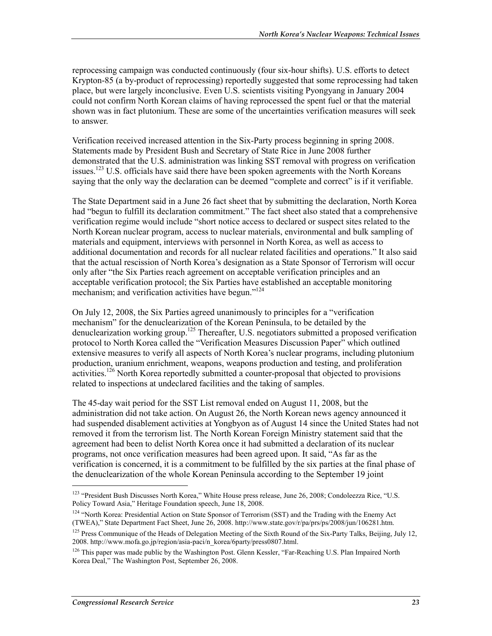reprocessing campaign was conducted continuously (four six-hour shifts). U.S. efforts to detect Krypton-85 (a by-product of reprocessing) reportedly suggested that some reprocessing had taken place, but were largely inconclusive. Even U.S. scientists visiting Pyongyang in January 2004 could not confirm North Korean claims of having reprocessed the spent fuel or that the material shown was in fact plutonium. These are some of the uncertainties verification measures will seek to answer.

Verification received increased attention in the Six-Party process beginning in spring 2008. Statements made by President Bush and Secretary of State Rice in June 2008 further demonstrated that the U.S. administration was linking SST removal with progress on verification issues.<sup>123</sup> U.S. officials have said there have been spoken agreements with the North Koreans saying that the only way the declaration can be deemed "complete and correct" is if it verifiable.

The State Department said in a June 26 fact sheet that by submitting the declaration, North Korea had "begun to fulfill its declaration commitment." The fact sheet also stated that a comprehensive verification regime would include "short notice access to declared or suspect sites related to the North Korean nuclear program, access to nuclear materials, environmental and bulk sampling of materials and equipment, interviews with personnel in North Korea, as well as access to additional documentation and records for all nuclear related facilities and operations." It also said that the actual rescission of North Korea's designation as a State Sponsor of Terrorism will occur only after "the Six Parties reach agreement on acceptable verification principles and an acceptable verification protocol; the Six Parties have established an acceptable monitoring mechanism; and verification activities have begun."<sup>124</sup>

On July 12, 2008, the Six Parties agreed unanimously to principles for a "verification mechanism" for the denuclearization of the Korean Peninsula, to be detailed by the denuclearization working group.125 Thereafter, U.S. negotiators submitted a proposed verification protocol to North Korea called the "Verification Measures Discussion Paper" which outlined extensive measures to verify all aspects of North Korea's nuclear programs, including plutonium production, uranium enrichment, weapons, weapons production and testing, and proliferation activities.<sup>126</sup> North Korea reportedly submitted a counter-proposal that objected to provisions related to inspections at undeclared facilities and the taking of samples.

The 45-day wait period for the SST List removal ended on August 11, 2008, but the administration did not take action. On August 26, the North Korean news agency announced it had suspended disablement activities at Yongbyon as of August 14 since the United States had not removed it from the terrorism list. The North Korean Foreign Ministry statement said that the agreement had been to delist North Korea once it had submitted a declaration of its nuclear programs, not once verification measures had been agreed upon. It said, "As far as the verification is concerned, it is a commitment to be fulfilled by the six parties at the final phase of the denuclearization of the whole Korean Peninsula according to the September 19 joint

<sup>&</sup>lt;sup>123</sup> "President Bush Discusses North Korea," White House press release, June 26, 2008; Condoleezza Rice, "U.S. Policy Toward Asia," Heritage Foundation speech, June 18, 2008.

<sup>&</sup>lt;sup>124</sup> "North Korea: Presidential Action on State Sponsor of Terrorism (SST) and the Trading with the Enemy Act (TWEA)," State Department Fact Sheet, June 26, 2008. http://www.state.gov/r/pa/prs/ps/2008/jun/106281.htm.

<sup>&</sup>lt;sup>125</sup> Press Communique of the Heads of Delegation Meeting of the Sixth Round of the Six-Party Talks, Beijing, July 12, 2008. http://www.mofa.go.jp/region/asia-paci/n\_korea/6party/press0807.html.

<sup>&</sup>lt;sup>126</sup> This paper was made public by the Washington Post. Glenn Kessler, "Far-Reaching U.S. Plan Impaired North Korea Deal," The Washington Post, September 26, 2008.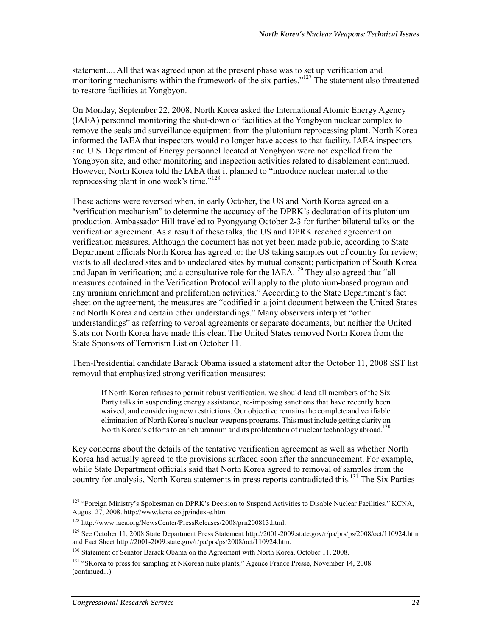statement.... All that was agreed upon at the present phase was to set up verification and monitoring mechanisms within the framework of the six parties."<sup>127</sup> The statement also threatened to restore facilities at Yongbyon.

On Monday, September 22, 2008, North Korea asked the International Atomic Energy Agency (IAEA) personnel monitoring the shut-down of facilities at the Yongbyon nuclear complex to remove the seals and surveillance equipment from the plutonium reprocessing plant. North Korea informed the IAEA that inspectors would no longer have access to that facility. IAEA inspectors and U.S. Department of Energy personnel located at Yongbyon were not expelled from the Yongbyon site, and other monitoring and inspection activities related to disablement continued. However, North Korea told the IAEA that it planned to "introduce nuclear material to the reprocessing plant in one week's time."<sup>128</sup>

These actions were reversed when, in early October, the US and North Korea agreed on a "verification mechanism" to determine the accuracy of the DPRK's declaration of its plutonium production. Ambassador Hill traveled to Pyongyang October 2-3 for further bilateral talks on the verification agreement. As a result of these talks, the US and DPRK reached agreement on verification measures. Although the document has not yet been made public, according to State Department officials North Korea has agreed to: the US taking samples out of country for review; visits to all declared sites and to undeclared sites by mutual consent; participation of South Korea and Japan in verification; and a consultative role for the IAEA.<sup>129</sup> They also agreed that "all measures contained in the Verification Protocol will apply to the plutonium-based program and any uranium enrichment and proliferation activities." According to the State Department's fact sheet on the agreement, the measures are "codified in a joint document between the United States and North Korea and certain other understandings." Many observers interpret "other understandings" as referring to verbal agreements or separate documents, but neither the United Stats nor North Korea have made this clear. The United States removed North Korea from the State Sponsors of Terrorism List on October 11.

Then-Presidential candidate Barack Obama issued a statement after the October 11, 2008 SST list removal that emphasized strong verification measures:

If North Korea refuses to permit robust verification, we should lead all members of the Six Party talks in suspending energy assistance, re-imposing sanctions that have recently been waived, and considering new restrictions. Our objective remains the complete and verifiable elimination of North Korea's nuclear weapons programs. This must include getting clarity on North Korea's efforts to enrich uranium and its proliferation of nuclear technology abroad.<sup>130</sup>

Key concerns about the details of the tentative verification agreement as well as whether North Korea had actually agreed to the provisions surfaced soon after the announcement. For example, while State Department officials said that North Korea agreed to removal of samples from the country for analysis. North Korea statements in press reports contradicted this.<sup>13f</sup> The Six Parties

<sup>&</sup>lt;sup>127</sup> "Foreign Ministry's Spokesman on DPRK's Decision to Suspend Activities to Disable Nuclear Facilities," KCNA, August 27, 2008. http://www.kcna.co.jp/index-e.htm.

<sup>128</sup> http://www.iaea.org/NewsCenter/PressReleases/2008/prn200813.html.

<sup>&</sup>lt;sup>129</sup> See October 11, 2008 State Department Press Statement http://2001-2009.state.gov/r/pa/prs/ps/2008/oct/110924.htm and Fact Sheet http://2001-2009.state.gov/r/pa/prs/ps/2008/oct/110924.htm.

<sup>&</sup>lt;sup>130</sup> Statement of Senator Barack Obama on the Agreement with North Korea, October 11, 2008.

<sup>&</sup>lt;sup>131</sup> "SKorea to press for sampling at NKorean nuke plants," Agence France Presse, November 14, 2008. (continued...)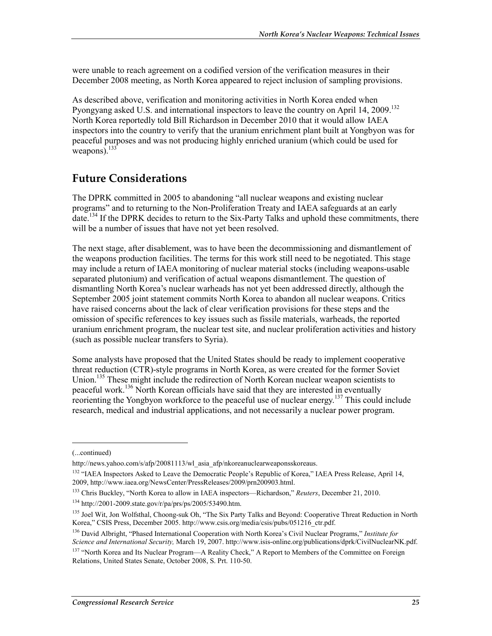were unable to reach agreement on a codified version of the verification measures in their December 2008 meeting, as North Korea appeared to reject inclusion of sampling provisions.

As described above, verification and monitoring activities in North Korea ended when Pyongyang asked U.S. and international inspectors to leave the country on April 14, 2009.<sup>132</sup> North Korea reportedly told Bill Richardson in December 2010 that it would allow IAEA inspectors into the country to verify that the uranium enrichment plant built at Yongbyon was for peaceful purposes and was not producing highly enriched uranium (which could be used for weapons). $133$ 

#### **Future Considerations**

The DPRK committed in 2005 to abandoning "all nuclear weapons and existing nuclear programs" and to returning to the Non-Proliferation Treaty and IAEA safeguards at an early date.<sup>134</sup> If the DPRK decides to return to the Six-Party Talks and uphold these commitments, there will be a number of issues that have not yet been resolved.

The next stage, after disablement, was to have been the decommissioning and dismantlement of the weapons production facilities. The terms for this work still need to be negotiated. This stage may include a return of IAEA monitoring of nuclear material stocks (including weapons-usable separated plutonium) and verification of actual weapons dismantlement. The question of dismantling North Korea's nuclear warheads has not yet been addressed directly, although the September 2005 joint statement commits North Korea to abandon all nuclear weapons. Critics have raised concerns about the lack of clear verification provisions for these steps and the omission of specific references to key issues such as fissile materials, warheads, the reported uranium enrichment program, the nuclear test site, and nuclear proliferation activities and history (such as possible nuclear transfers to Syria).

Some analysts have proposed that the United States should be ready to implement cooperative threat reduction (CTR)-style programs in North Korea, as were created for the former Soviet Union.<sup>135</sup> These might include the redirection of North Korean nuclear weapon scientists to peaceful work.136 North Korean officials have said that they are interested in eventually reorienting the Yongbyon workforce to the peaceful use of nuclear energy.<sup>137</sup> This could include research, medical and industrial applications, and not necessarily a nuclear power program.

<sup>(...</sup>continued)

http://news.yahoo.com/s/afp/20081113/wl\_asia\_afp/nkoreanuclearweaponsskoreaus.

<sup>&</sup>lt;sup>132</sup> "IAEA Inspectors Asked to Leave the Democratic People's Republic of Korea," IAEA Press Release, April 14, 2009, http://www.iaea.org/NewsCenter/PressReleases/2009/prn200903.html.

<sup>133</sup> Chris Buckley, "North Korea to allow in IAEA inspectors—Richardson," *Reuters*, December 21, 2010.

<sup>134</sup> http://2001-2009.state.gov/r/pa/prs/ps/2005/53490.htm.

<sup>&</sup>lt;sup>135</sup> Joel Wit, Jon Wolfsthal, Choong-suk Oh, "The Six Party Talks and Beyond: Cooperative Threat Reduction in North Korea," CSIS Press, December 2005. http://www.csis.org/media/csis/pubs/051216\_ctr.pdf.

<sup>136</sup> David Albright, "Phased International Cooperation with North Korea's Civil Nuclear Programs," *Institute for Science and International Security,* March 19, 2007. http://www.isis-online.org/publications/dprk/CivilNuclearNK.pdf. <sup>137</sup> "North Korea and Its Nuclear Program—A Reality Check," A Report to Members of the Committee on Foreign

Relations, United States Senate, October 2008, S. Prt. 110-50.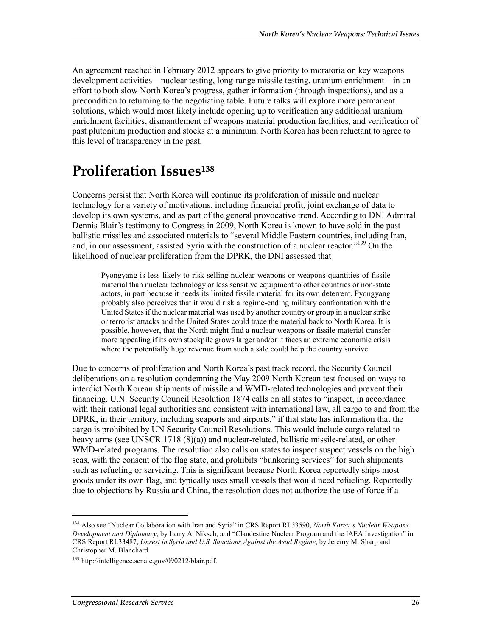An agreement reached in February 2012 appears to give priority to moratoria on key weapons development activities—nuclear testing, long-range missile testing, uranium enrichment—in an effort to both slow North Korea's progress, gather information (through inspections), and as a precondition to returning to the negotiating table. Future talks will explore more permanent solutions, which would most likely include opening up to verification any additional uranium enrichment facilities, dismantlement of weapons material production facilities, and verification of past plutonium production and stocks at a minimum. North Korea has been reluctant to agree to this level of transparency in the past.

## **Proliferation Issues138**

Concerns persist that North Korea will continue its proliferation of missile and nuclear technology for a variety of motivations, including financial profit, joint exchange of data to develop its own systems, and as part of the general provocative trend. According to DNI Admiral Dennis Blair's testimony to Congress in 2009, North Korea is known to have sold in the past ballistic missiles and associated materials to "several Middle Eastern countries, including Iran, and, in our assessment, assisted Syria with the construction of a nuclear reactor."<sup>139</sup> On the likelihood of nuclear proliferation from the DPRK, the DNI assessed that

Pyongyang is less likely to risk selling nuclear weapons or weapons-quantities of fissile material than nuclear technology or less sensitive equipment to other countries or non-state actors, in part because it needs its limited fissile material for its own deterrent. Pyongyang probably also perceives that it would risk a regime-ending military confrontation with the United States if the nuclear material was used by another country or group in a nuclear strike or terrorist attacks and the United States could trace the material back to North Korea. It is possible, however, that the North might find a nuclear weapons or fissile material transfer more appealing if its own stockpile grows larger and/or it faces an extreme economic crisis where the potentially huge revenue from such a sale could help the country survive.

Due to concerns of proliferation and North Korea's past track record, the Security Council deliberations on a resolution condemning the May 2009 North Korean test focused on ways to interdict North Korean shipments of missile and WMD-related technologies and prevent their financing. U.N. Security Council Resolution 1874 calls on all states to "inspect, in accordance with their national legal authorities and consistent with international law, all cargo to and from the DPRK, in their territory, including seaports and airports," if that state has information that the cargo is prohibited by UN Security Council Resolutions. This would include cargo related to heavy arms (see UNSCR 1718 (8)(a)) and nuclear-related, ballistic missile-related, or other WMD-related programs. The resolution also calls on states to inspect suspect vessels on the high seas, with the consent of the flag state, and prohibits "bunkering services" for such shipments such as refueling or servicing. This is significant because North Korea reportedly ships most goods under its own flag, and typically uses small vessels that would need refueling. Reportedly due to objections by Russia and China, the resolution does not authorize the use of force if a

<sup>138</sup> Also see "Nuclear Collaboration with Iran and Syria" in CRS Report RL33590, *North Korea's Nuclear Weapons Development and Diplomacy*, by Larry A. Niksch, and "Clandestine Nuclear Program and the IAEA Investigation" in CRS Report RL33487, *Unrest in Syria and U.S. Sanctions Against the Asad Regime*, by Jeremy M. Sharp and Christopher M. Blanchard.

<sup>139</sup> http://intelligence.senate.gov/090212/blair.pdf.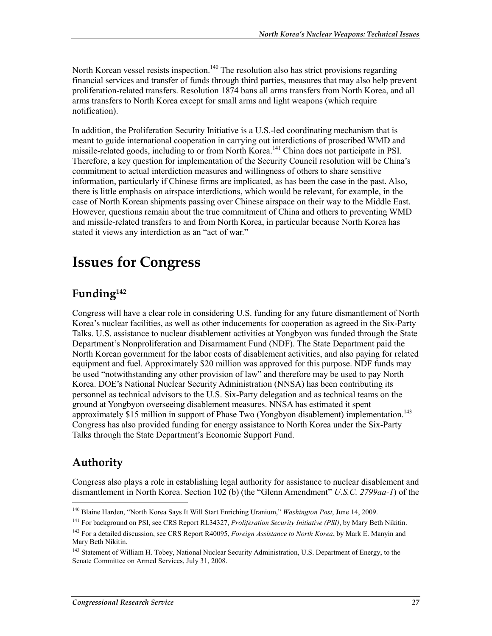North Korean vessel resists inspection.<sup>140</sup> The resolution also has strict provisions regarding financial services and transfer of funds through third parties, measures that may also help prevent proliferation-related transfers. Resolution 1874 bans all arms transfers from North Korea, and all arms transfers to North Korea except for small arms and light weapons (which require notification).

In addition, the Proliferation Security Initiative is a U.S.-led coordinating mechanism that is meant to guide international cooperation in carrying out interdictions of proscribed WMD and missile-related goods, including to or from North Korea.<sup>141</sup> China does not participate in PSI. Therefore, a key question for implementation of the Security Council resolution will be China's commitment to actual interdiction measures and willingness of others to share sensitive information, particularly if Chinese firms are implicated, as has been the case in the past. Also, there is little emphasis on airspace interdictions, which would be relevant, for example, in the case of North Korean shipments passing over Chinese airspace on their way to the Middle East. However, questions remain about the true commitment of China and others to preventing WMD and missile-related transfers to and from North Korea, in particular because North Korea has stated it views any interdiction as an "act of war."

## **Issues for Congress**

#### **Funding142**

Congress will have a clear role in considering U.S. funding for any future dismantlement of North Korea's nuclear facilities, as well as other inducements for cooperation as agreed in the Six-Party Talks. U.S. assistance to nuclear disablement activities at Yongbyon was funded through the State Department's Nonproliferation and Disarmament Fund (NDF). The State Department paid the North Korean government for the labor costs of disablement activities, and also paying for related equipment and fuel. Approximately \$20 million was approved for this purpose. NDF funds may be used "notwithstanding any other provision of law" and therefore may be used to pay North Korea. DOE's National Nuclear Security Administration (NNSA) has been contributing its personnel as technical advisors to the U.S. Six-Party delegation and as technical teams on the ground at Yongbyon overseeing disablement measures. NNSA has estimated it spent approximately \$15 million in support of Phase Two (Yongbyon disablement) implementation.<sup>143</sup> Congress has also provided funding for energy assistance to North Korea under the Six-Party Talks through the State Department's Economic Support Fund.

### **Authority**

Congress also plays a role in establishing legal authority for assistance to nuclear disablement and dismantlement in North Korea. Section 102 (b) (the "Glenn Amendment" *U.S.C. 2799aa-1*) of the

<sup>140</sup> Blaine Harden, "North Korea Says It Will Start Enriching Uranium," *Washington Post*, June 14, 2009.

<sup>141</sup> For background on PSI, see CRS Report RL34327, *Proliferation Security Initiative (PSI)*, by Mary Beth Nikitin.

<sup>142</sup> For a detailed discussion, see CRS Report R40095, *Foreign Assistance to North Korea*, by Mark E. Manyin and Mary Beth Nikitin.

<sup>&</sup>lt;sup>143</sup> Statement of William H. Tobey, National Nuclear Security Administration, U.S. Department of Energy, to the Senate Committee on Armed Services, July 31, 2008.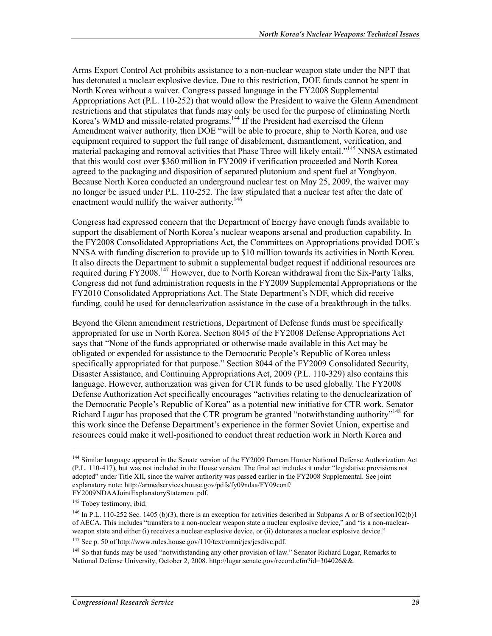Arms Export Control Act prohibits assistance to a non-nuclear weapon state under the NPT that has detonated a nuclear explosive device. Due to this restriction, DOE funds cannot be spent in North Korea without a waiver. Congress passed language in the FY2008 Supplemental Appropriations Act (P.L. 110-252) that would allow the President to waive the Glenn Amendment restrictions and that stipulates that funds may only be used for the purpose of eliminating North Korea's WMD and missile-related programs.144 If the President had exercised the Glenn Amendment waiver authority, then DOE "will be able to procure, ship to North Korea, and use equipment required to support the full range of disablement, dismantlement, verification, and material packaging and removal activities that Phase Three will likely entail."145 NNSA estimated that this would cost over \$360 million in FY2009 if verification proceeded and North Korea agreed to the packaging and disposition of separated plutonium and spent fuel at Yongbyon. Because North Korea conducted an underground nuclear test on May 25, 2009, the waiver may no longer be issued under P.L. 110-252. The law stipulated that a nuclear test after the date of enactment would nullify the waiver authority.<sup>146</sup>

Congress had expressed concern that the Department of Energy have enough funds available to support the disablement of North Korea's nuclear weapons arsenal and production capability. In the FY2008 Consolidated Appropriations Act, the Committees on Appropriations provided DOE's NNSA with funding discretion to provide up to \$10 million towards its activities in North Korea. It also directs the Department to submit a supplemental budget request if additional resources are required during FY2008.<sup>147</sup> However, due to North Korean withdrawal from the Six-Party Talks, Congress did not fund administration requests in the FY2009 Supplemental Appropriations or the FY2010 Consolidated Appropriations Act. The State Department's NDF, which did receive funding, could be used for denuclearization assistance in the case of a breakthrough in the talks.

Beyond the Glenn amendment restrictions, Department of Defense funds must be specifically appropriated for use in North Korea. Section 8045 of the FY2008 Defense Appropriations Act says that "None of the funds appropriated or otherwise made available in this Act may be obligated or expended for assistance to the Democratic People's Republic of Korea unless specifically appropriated for that purpose." Section 8044 of the FY2009 Consolidated Security, Disaster Assistance, and Continuing Appropriations Act, 2009 (P.L. 110-329) also contains this language. However, authorization was given for CTR funds to be used globally. The FY2008 Defense Authorization Act specifically encourages "activities relating to the denuclearization of the Democratic People's Republic of Korea" as a potential new initiative for CTR work. Senator Richard Lugar has proposed that the CTR program be granted "notwithstanding authority"<sup>148</sup> for this work since the Defense Department's experience in the former Soviet Union, expertise and resources could make it well-positioned to conduct threat reduction work in North Korea and

<sup>&</sup>lt;sup>144</sup> Similar language appeared in the Senate version of the FY2009 Duncan Hunter National Defense Authorization Act (P.L. 110-417), but was not included in the House version. The final act includes it under "legislative provisions not adopted" under Title XII, since the waiver authority was passed earlier in the FY2008 Supplemental. See joint explanatory note: http://armedservices.house.gov/pdfs/fy09ndaa/FY09conf/ FY2009NDAAJointExplanatoryStatement.pdf.

<sup>&</sup>lt;sup>145</sup> Tobey testimony, ibid.

<sup>&</sup>lt;sup>146</sup> In P.L. 110-252 Sec. 1405 (b)(3), there is an exception for activities described in Subparas A or B of section102(b)1 of AECA. This includes "transfers to a non-nuclear weapon state a nuclear explosive device," and "is a non-nuclearweapon state and either (i) receives a nuclear explosive device, or (ii) detonates a nuclear explosive device."

<sup>147</sup> See p. 50 of http://www.rules.house.gov/110/text/omni/jes/jesdivc.pdf.

<sup>&</sup>lt;sup>148</sup> So that funds may be used "notwithstanding any other provision of law." Senator Richard Lugar, Remarks to National Defense University, October 2, 2008. http://lugar.senate.gov/record.cfm?id=304026&&.